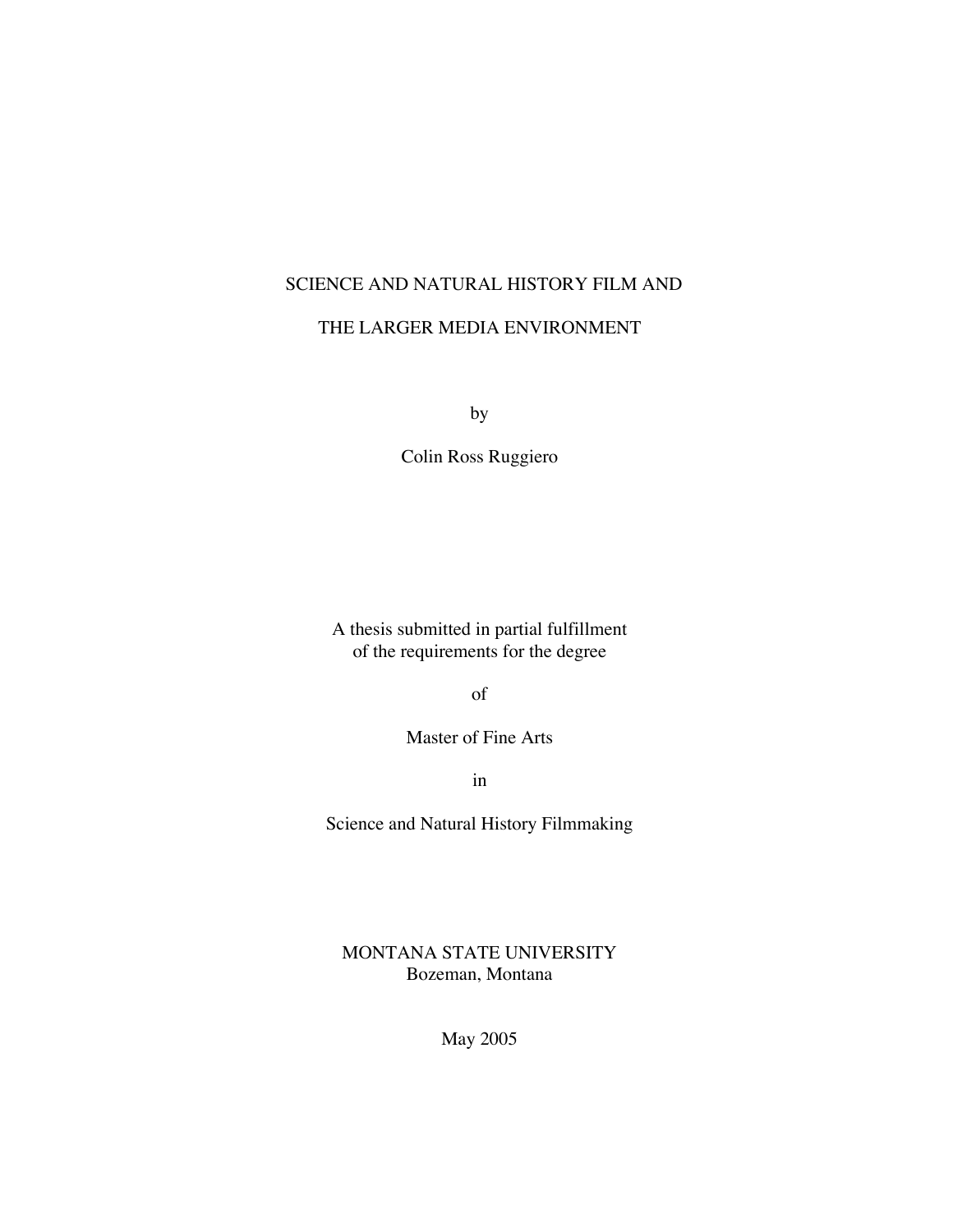## SCIENCE AND NATURAL HISTORY FILM AND

### THE LARGER MEDIA ENVIRONMENT

by

Colin Ross Ruggiero

A thesis submitted in partial fulfillment of the requirements for the degree

of

Master of Fine Arts

in

Science and Natural History Filmmaking

MONTANA STATE UNIVERSITY Bozeman, Montana

May 2005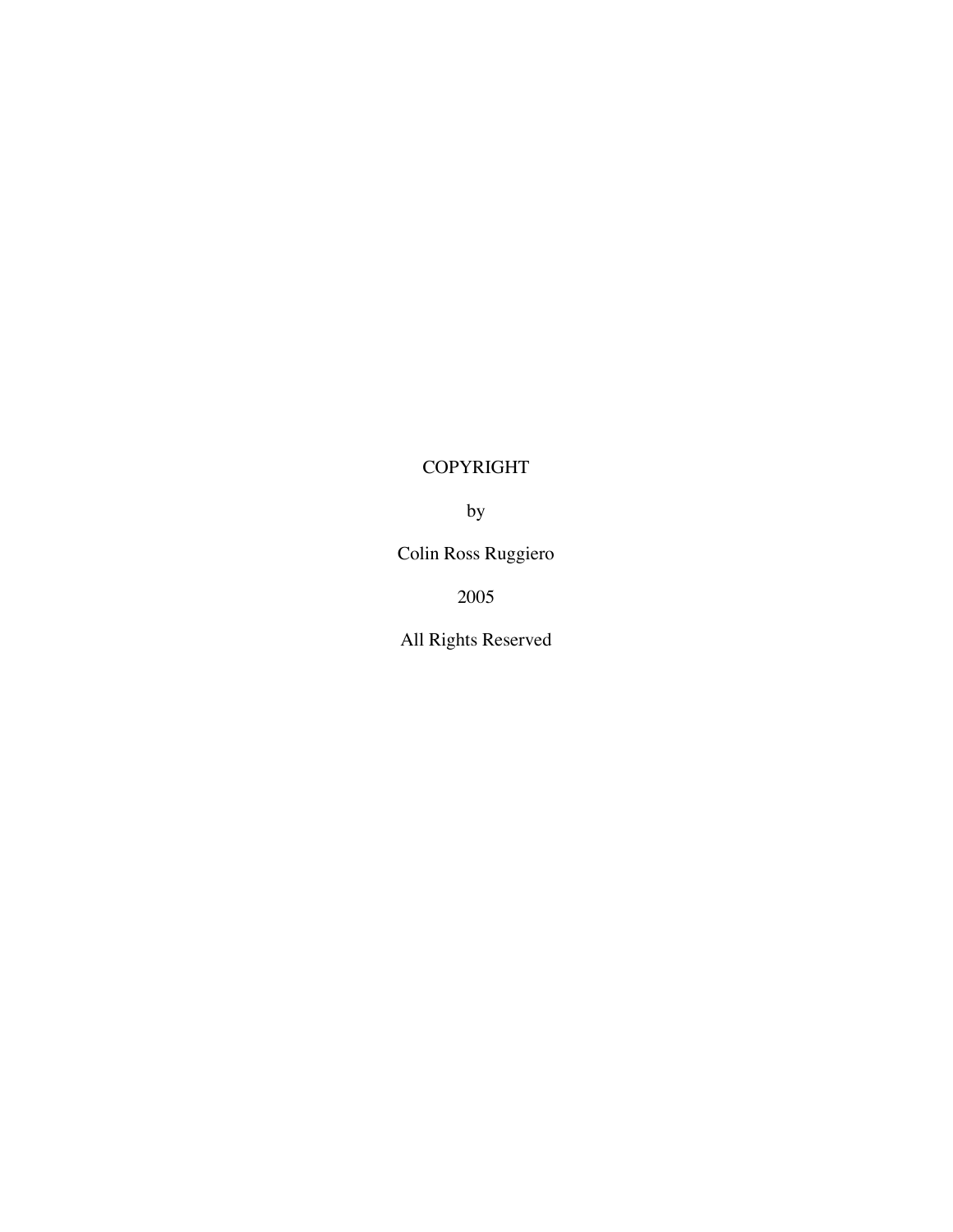## COPYRIGHT

by

Colin Ross Ruggiero

2005

All Rights Reserved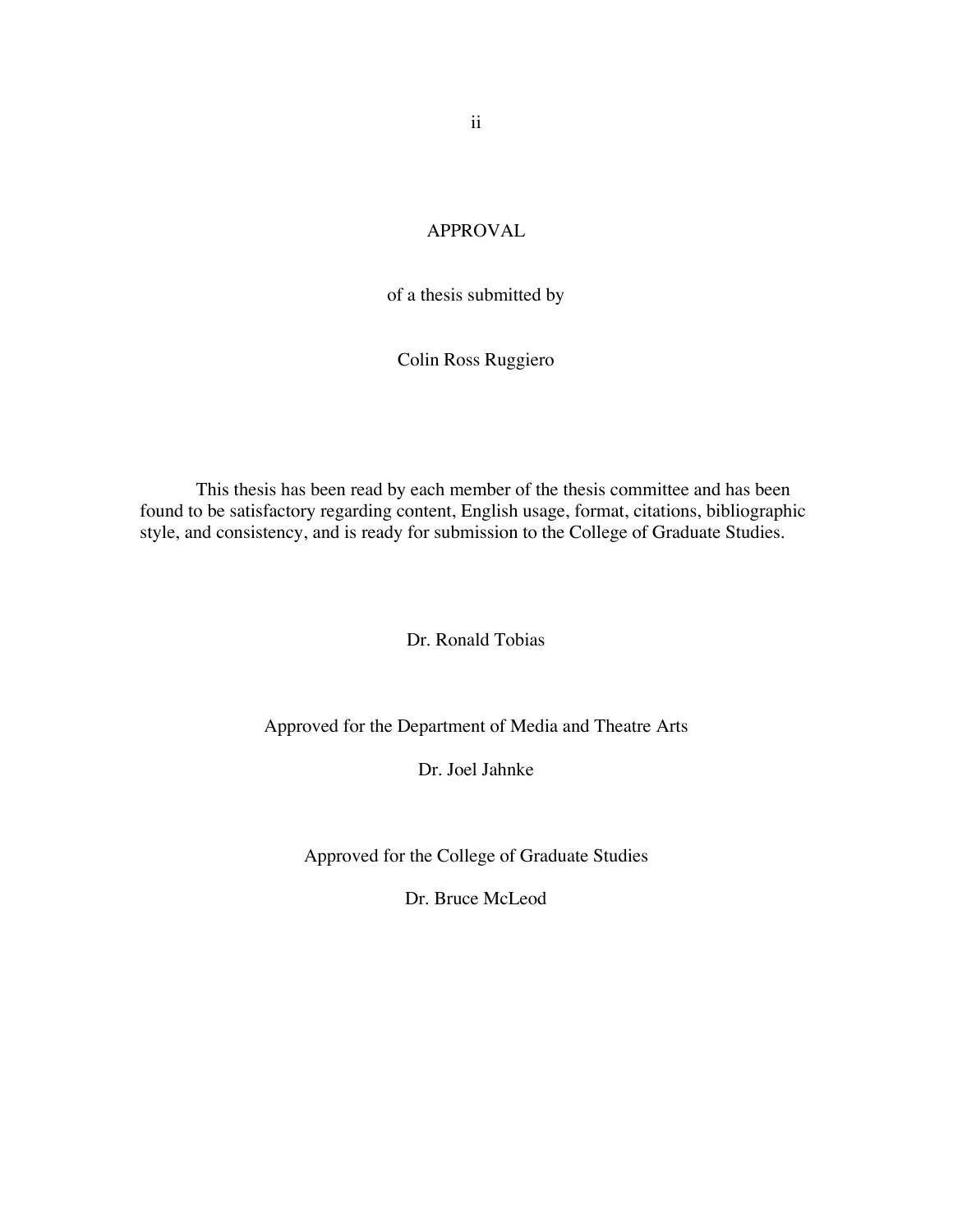## APPROVAL

of a thesis submitted by

Colin Ross Ruggiero

This thesis has been read by each member of the thesis committee and has been found to be satisfactory regarding content, English usage, format, citations, bibliographic style, and consistency, and is ready for submission to the College of Graduate Studies.

Dr. Ronald Tobias

Approved for the Department of Media and Theatre Arts

Dr. Joel Jahnke

Approved for the College of Graduate Studies

Dr. Bruce McLeod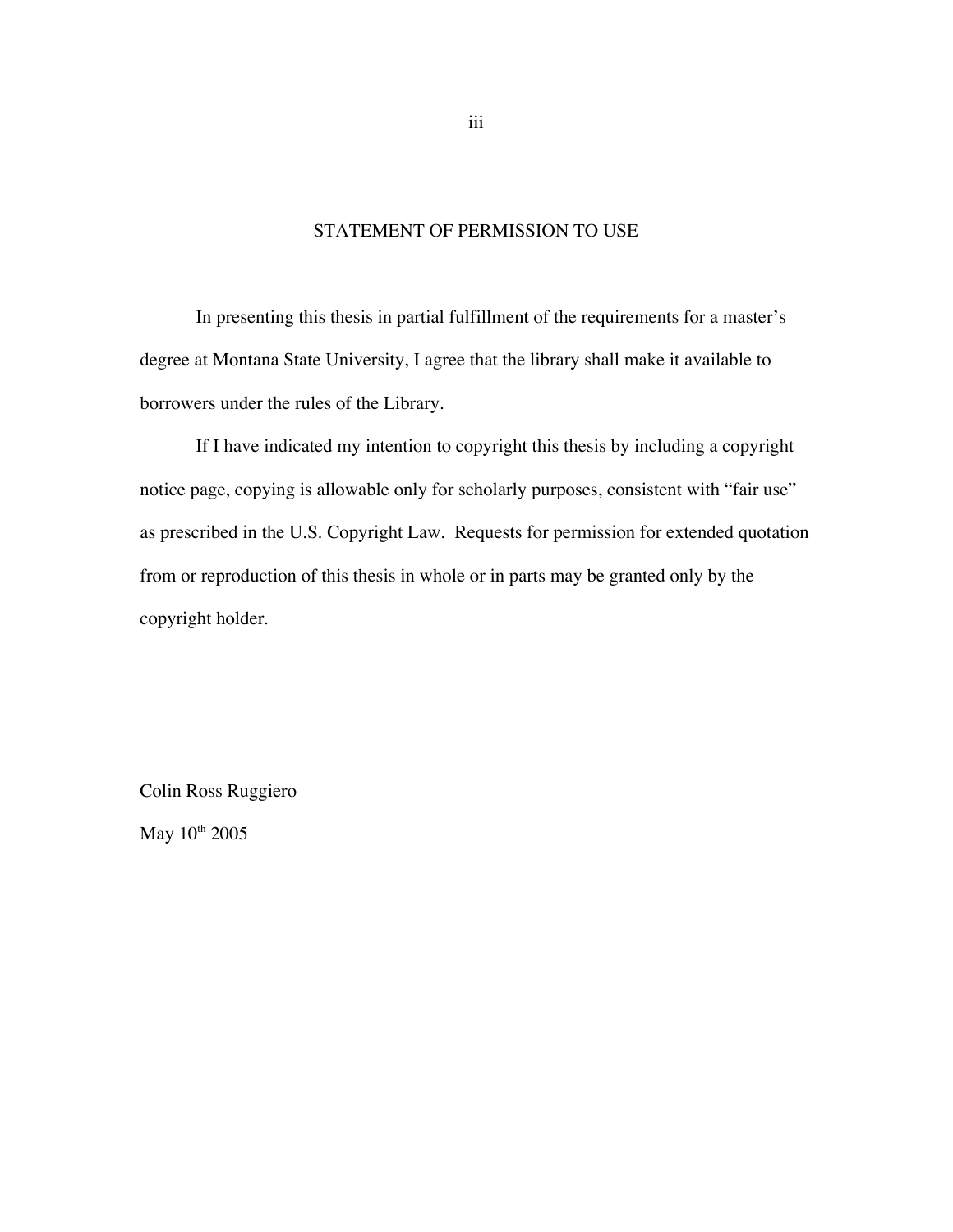### STATEMENT OF PERMISSION TO USE

In presenting this thesis in partial fulfillment of the requirements for a master's degree at Montana State University, I agree that the library shall make it available to borrowers under the rules of the Library.

If I have indicated my intention to copyright this thesis by including a copyright notice page, copying is allowable only for scholarly purposes, consistent with "fair use" as prescribed in the U.S. Copyright Law. Requests for permission for extended quotation from or reproduction of this thesis in whole or in parts may be granted only by the copyright holder.

Colin Ross Ruggiero

May  $10^{th}$  2005

iii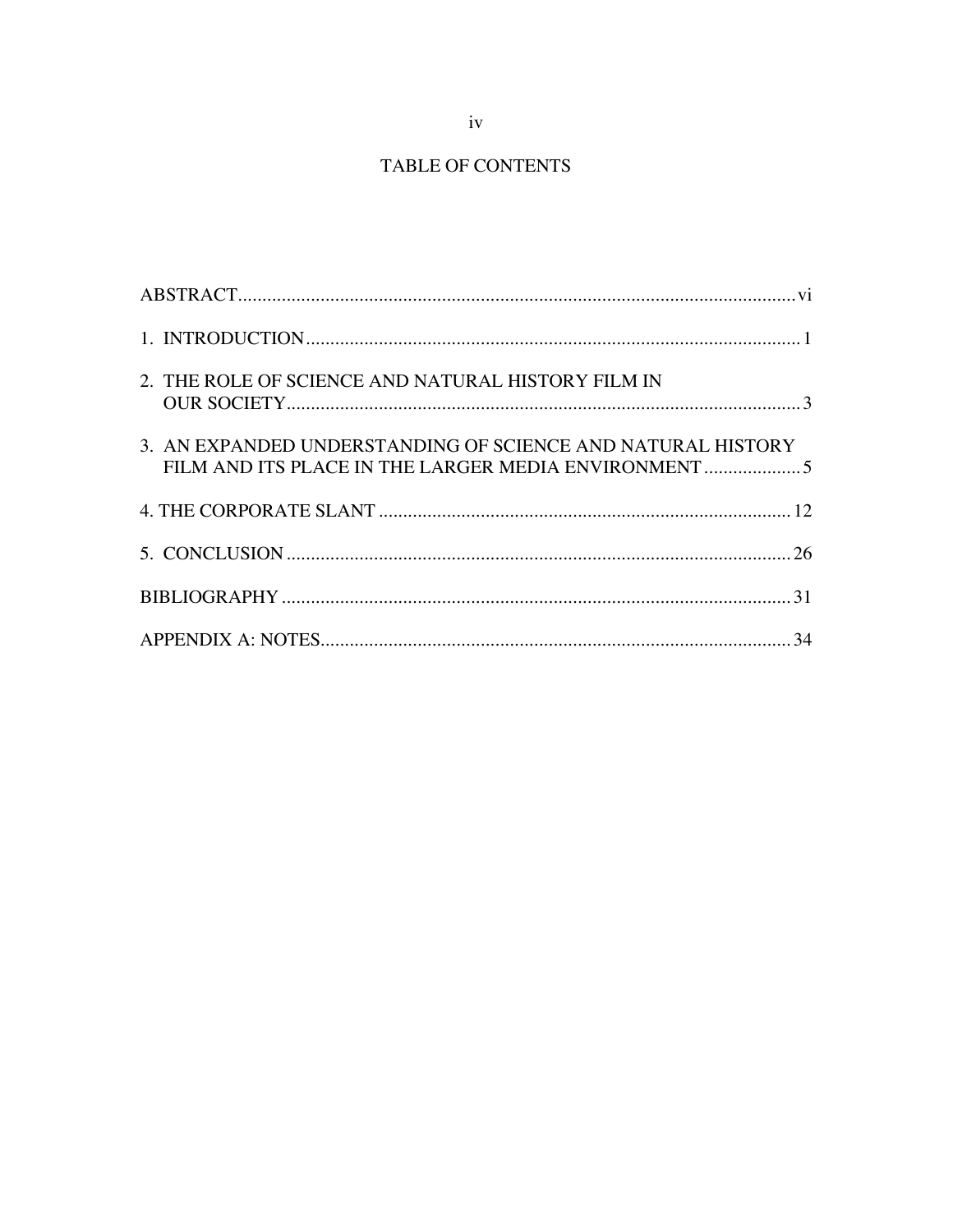## TABLE OF CONTENTS

| 2. THE ROLE OF SCIENCE AND NATURAL HISTORY FILM IN          |  |
|-------------------------------------------------------------|--|
| 3. AN EXPANDED UNDERSTANDING OF SCIENCE AND NATURAL HISTORY |  |
|                                                             |  |
|                                                             |  |
|                                                             |  |
|                                                             |  |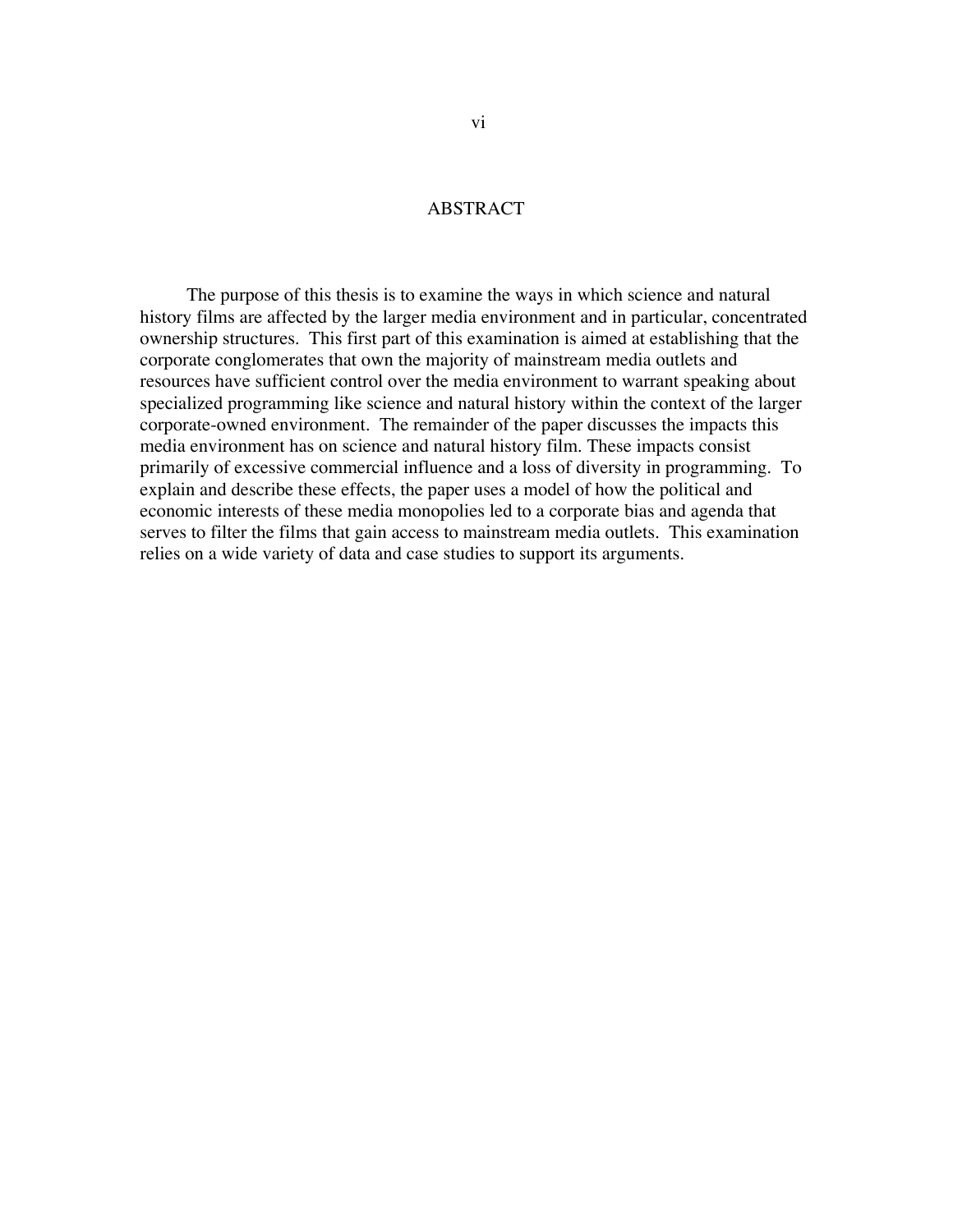### ABSTRACT

 The purpose of this thesis is to examine the ways in which science and natural history films are affected by the larger media environment and in particular, concentrated ownership structures. This first part of this examination is aimed at establishing that the corporate conglomerates that own the majority of mainstream media outlets and resources have sufficient control over the media environment to warrant speaking about specialized programming like science and natural history within the context of the larger corporate-owned environment. The remainder of the paper discusses the impacts this media environment has on science and natural history film. These impacts consist primarily of excessive commercial influence and a loss of diversity in programming. To explain and describe these effects, the paper uses a model of how the political and economic interests of these media monopolies led to a corporate bias and agenda that serves to filter the films that gain access to mainstream media outlets. This examination relies on a wide variety of data and case studies to support its arguments.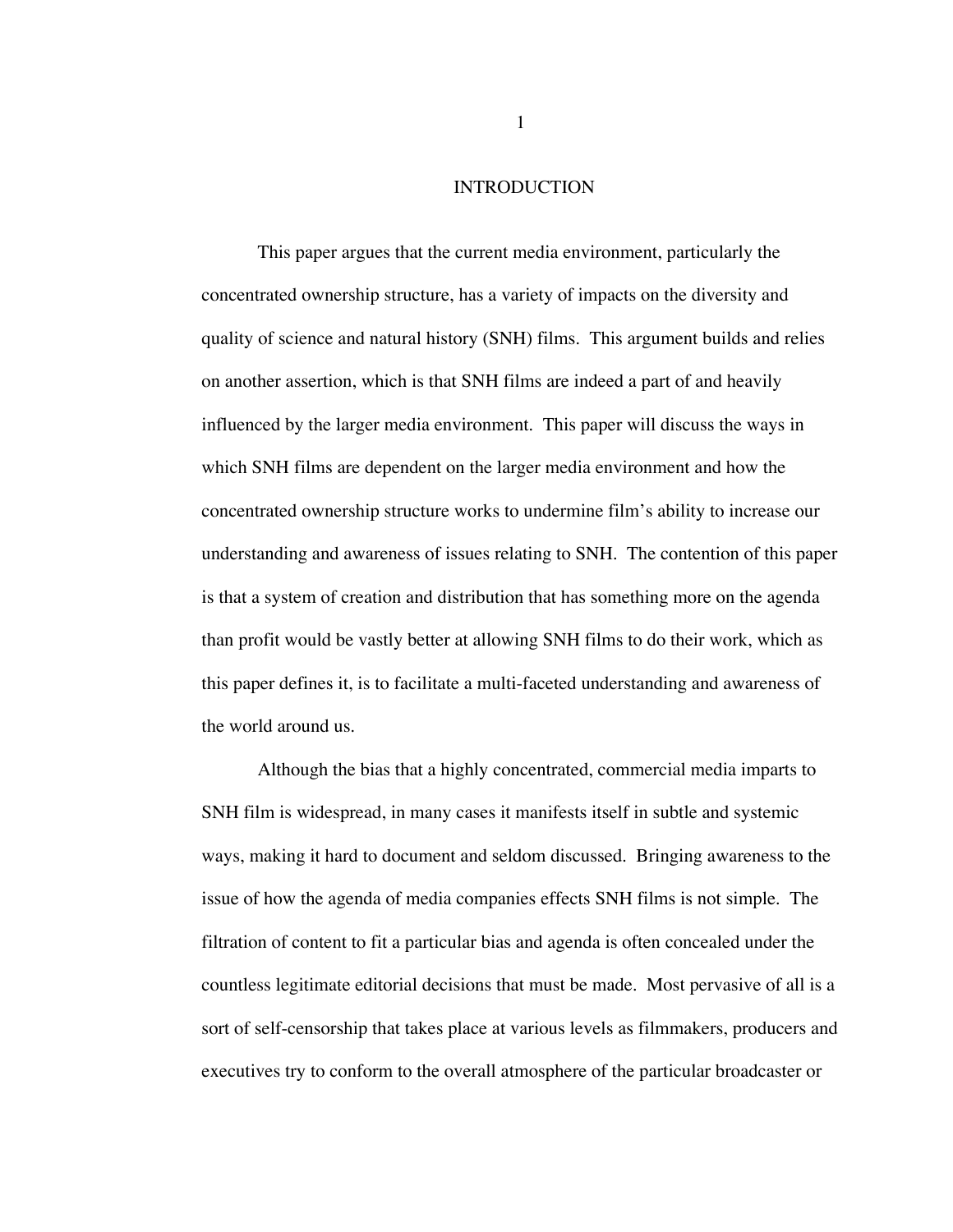#### INTRODUCTION

This paper argues that the current media environment, particularly the concentrated ownership structure, has a variety of impacts on the diversity and quality of science and natural history (SNH) films. This argument builds and relies on another assertion, which is that SNH films are indeed a part of and heavily influenced by the larger media environment. This paper will discuss the ways in which SNH films are dependent on the larger media environment and how the concentrated ownership structure works to undermine film's ability to increase our understanding and awareness of issues relating to SNH. The contention of this paper is that a system of creation and distribution that has something more on the agenda than profit would be vastly better at allowing SNH films to do their work, which as this paper defines it, is to facilitate a multi-faceted understanding and awareness of the world around us.

Although the bias that a highly concentrated, commercial media imparts to SNH film is widespread, in many cases it manifests itself in subtle and systemic ways, making it hard to document and seldom discussed. Bringing awareness to the issue of how the agenda of media companies effects SNH films is not simple. The filtration of content to fit a particular bias and agenda is often concealed under the countless legitimate editorial decisions that must be made. Most pervasive of all is a sort of self-censorship that takes place at various levels as filmmakers, producers and executives try to conform to the overall atmosphere of the particular broadcaster or

1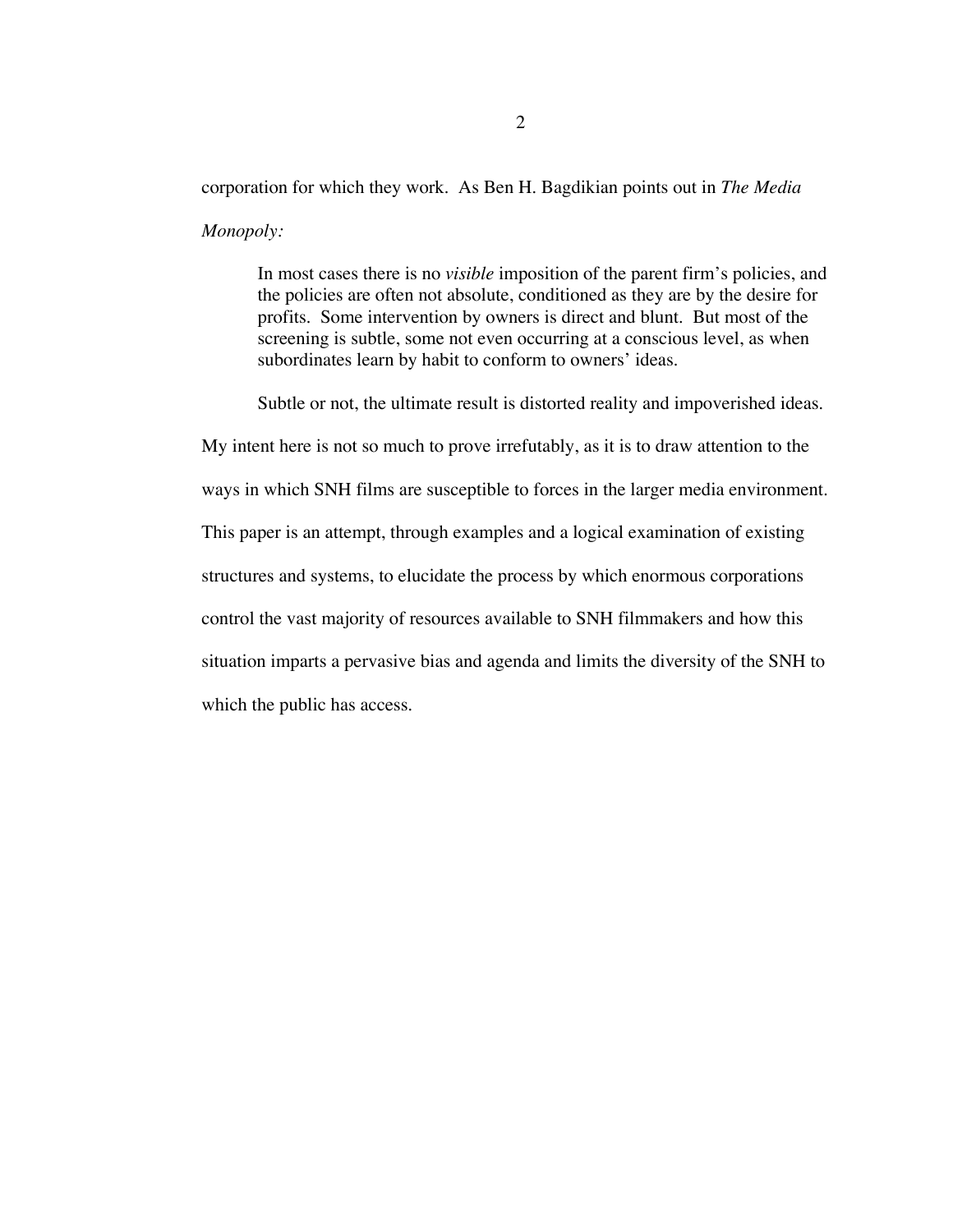# corporation for which they work. As Ben H. Bagdikian points out in *The Media Monopoly:*

In most cases there is no *visible* imposition of the parent firm's policies, and the policies are often not absolute, conditioned as they are by the desire for profits. Some intervention by owners is direct and blunt. But most of the screening is subtle, some not even occurring at a conscious level, as when subordinates learn by habit to conform to owners' ideas.

Subtle or not, the ultimate result is distorted reality and impoverished ideas.

My intent here is not so much to prove irrefutably, as it is to draw attention to the ways in which SNH films are susceptible to forces in the larger media environment. This paper is an attempt, through examples and a logical examination of existing structures and systems, to elucidate the process by which enormous corporations control the vast majority of resources available to SNH filmmakers and how this situation imparts a pervasive bias and agenda and limits the diversity of the SNH to which the public has access.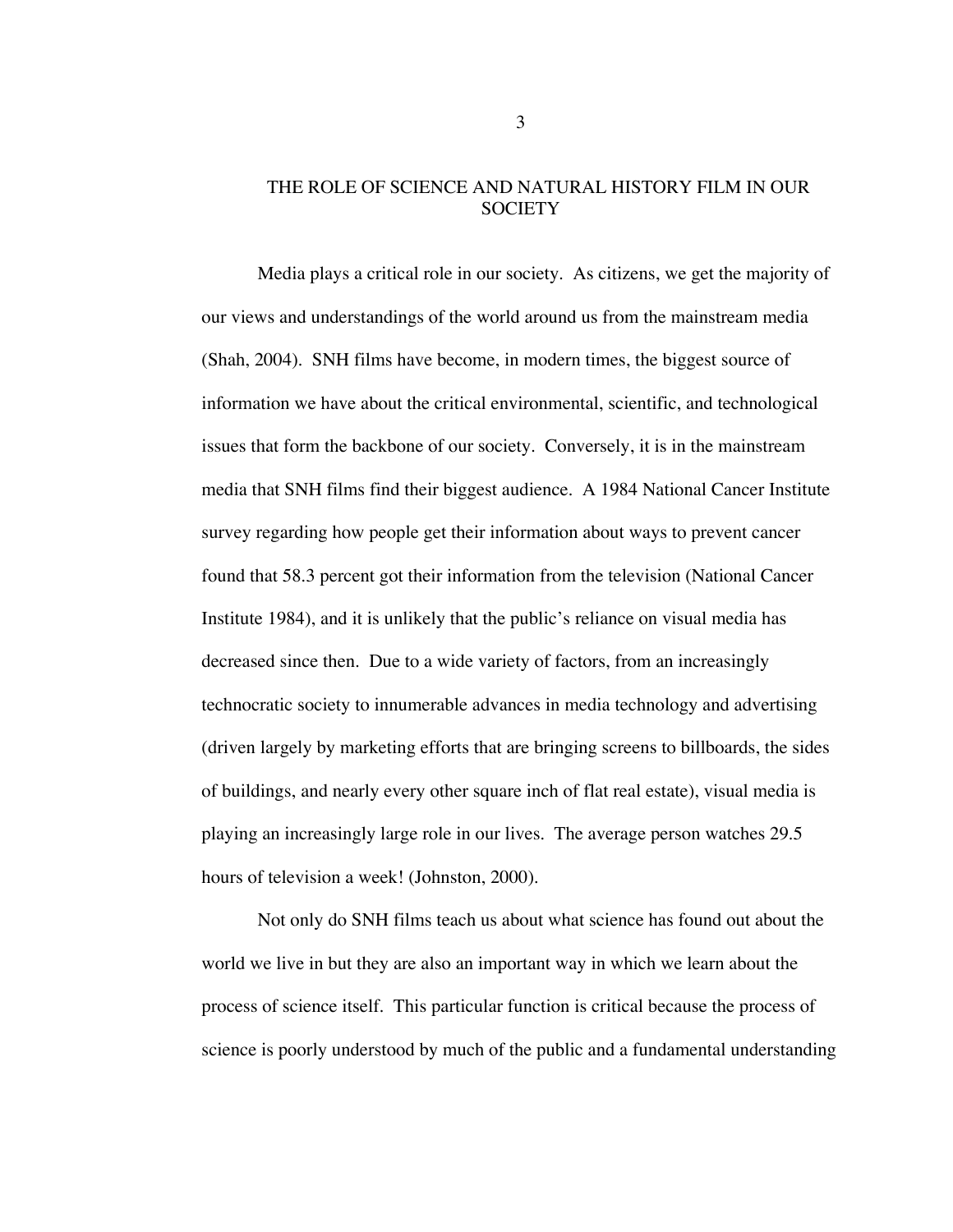## THE ROLE OF SCIENCE AND NATURAL HISTORY FILM IN OUR **SOCIETY**

Media plays a critical role in our society. As citizens, we get the majority of our views and understandings of the world around us from the mainstream media (Shah, 2004). SNH films have become, in modern times, the biggest source of information we have about the critical environmental, scientific, and technological issues that form the backbone of our society. Conversely, it is in the mainstream media that SNH films find their biggest audience. A 1984 National Cancer Institute survey regarding how people get their information about ways to prevent cancer found that 58.3 percent got their information from the television (National Cancer Institute 1984), and it is unlikely that the public's reliance on visual media has decreased since then. Due to a wide variety of factors, from an increasingly technocratic society to innumerable advances in media technology and advertising (driven largely by marketing efforts that are bringing screens to billboards, the sides of buildings, and nearly every other square inch of flat real estate), visual media is playing an increasingly large role in our lives. The average person watches 29.5 hours of television a week! (Johnston, 2000).

Not only do SNH films teach us about what science has found out about the world we live in but they are also an important way in which we learn about the process of science itself. This particular function is critical because the process of science is poorly understood by much of the public and a fundamental understanding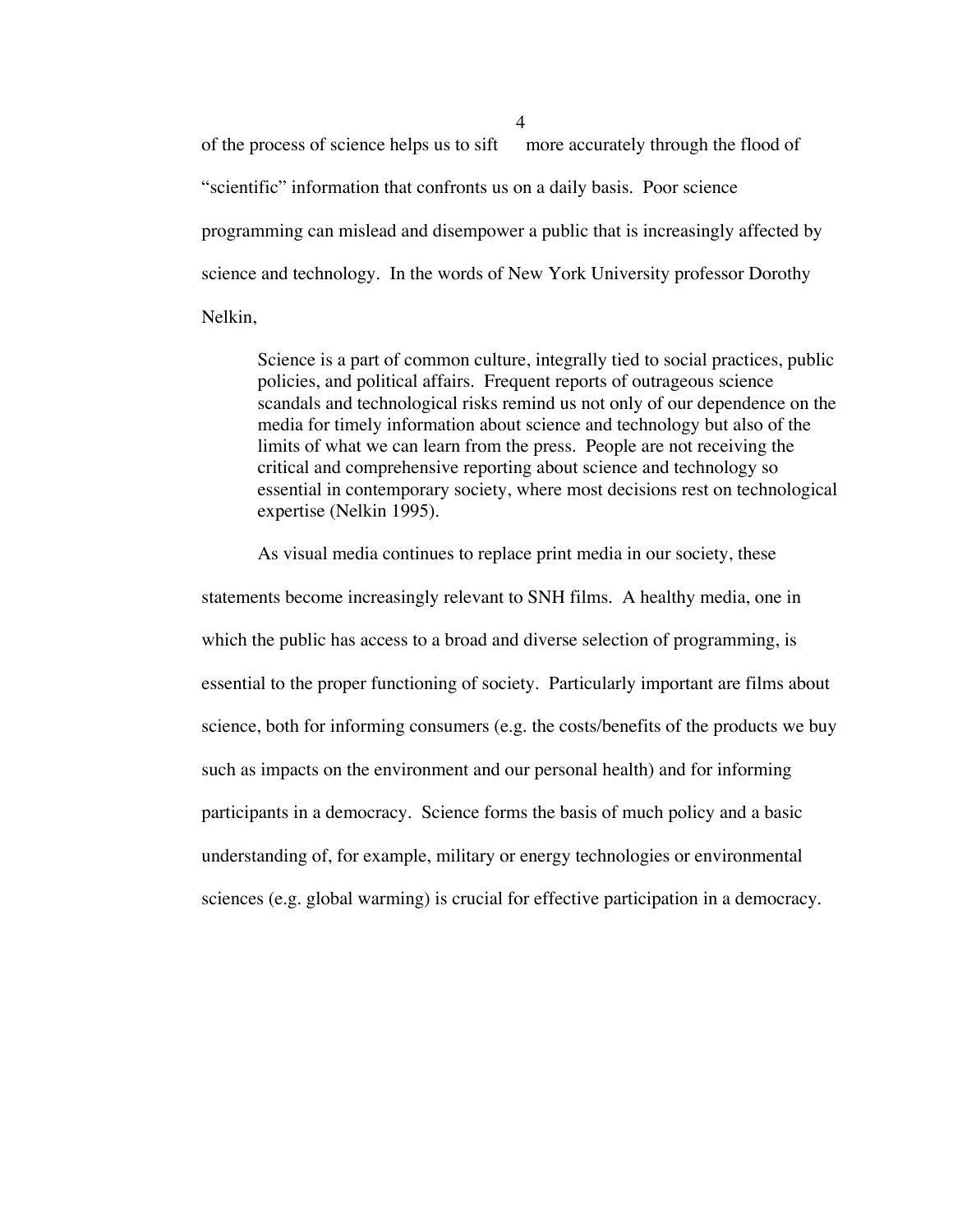of the process of science helps us to sift more accurately through the flood of "scientific" information that confronts us on a daily basis. Poor science programming can mislead and disempower a public that is increasingly affected by science and technology. In the words of New York University professor Dorothy Nelkin,

Science is a part of common culture, integrally tied to social practices, public policies, and political affairs. Frequent reports of outrageous science scandals and technological risks remind us not only of our dependence on the media for timely information about science and technology but also of the limits of what we can learn from the press. People are not receiving the critical and comprehensive reporting about science and technology so essential in contemporary society, where most decisions rest on technological expertise (Nelkin 1995).

As visual media continues to replace print media in our society, these statements become increasingly relevant to SNH films. A healthy media, one in which the public has access to a broad and diverse selection of programming, is essential to the proper functioning of society. Particularly important are films about science, both for informing consumers (e.g. the costs/benefits of the products we buy such as impacts on the environment and our personal health) and for informing participants in a democracy. Science forms the basis of much policy and a basic understanding of, for example, military or energy technologies or environmental sciences (e.g. global warming) is crucial for effective participation in a democracy.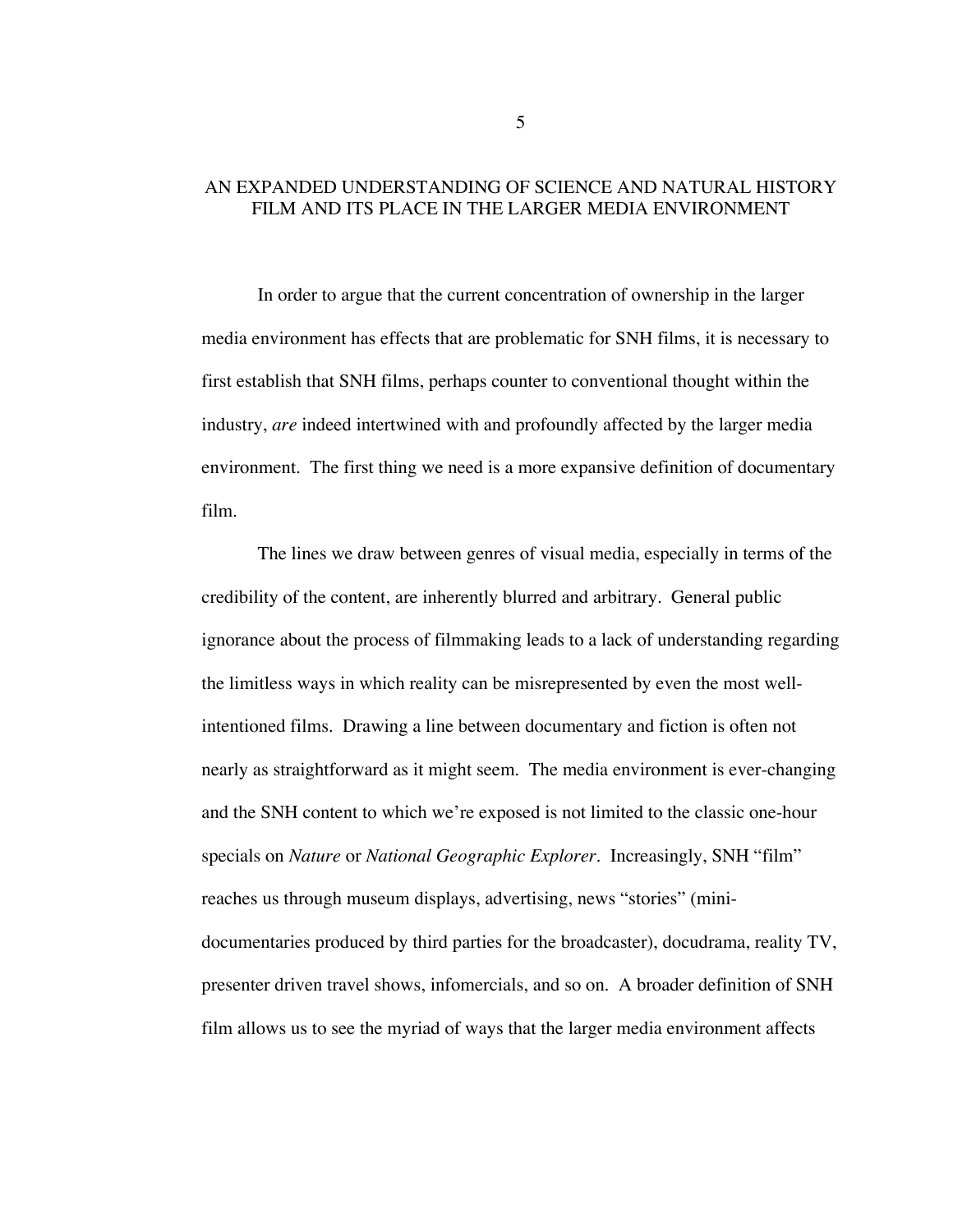## AN EXPANDED UNDERSTANDING OF SCIENCE AND NATURAL HISTORY FILM AND ITS PLACE IN THE LARGER MEDIA ENVIRONMENT

In order to argue that the current concentration of ownership in the larger media environment has effects that are problematic for SNH films, it is necessary to first establish that SNH films, perhaps counter to conventional thought within the industry, *are* indeed intertwined with and profoundly affected by the larger media environment. The first thing we need is a more expansive definition of documentary film.

The lines we draw between genres of visual media, especially in terms of the credibility of the content, are inherently blurred and arbitrary. General public ignorance about the process of filmmaking leads to a lack of understanding regarding the limitless ways in which reality can be misrepresented by even the most wellintentioned films. Drawing a line between documentary and fiction is often not nearly as straightforward as it might seem. The media environment is ever-changing and the SNH content to which we're exposed is not limited to the classic one-hour specials on *Nature* or *National Geographic Explorer*. Increasingly, SNH "film" reaches us through museum displays, advertising, news "stories" (minidocumentaries produced by third parties for the broadcaster), docudrama, reality TV, presenter driven travel shows, infomercials, and so on. A broader definition of SNH film allows us to see the myriad of ways that the larger media environment affects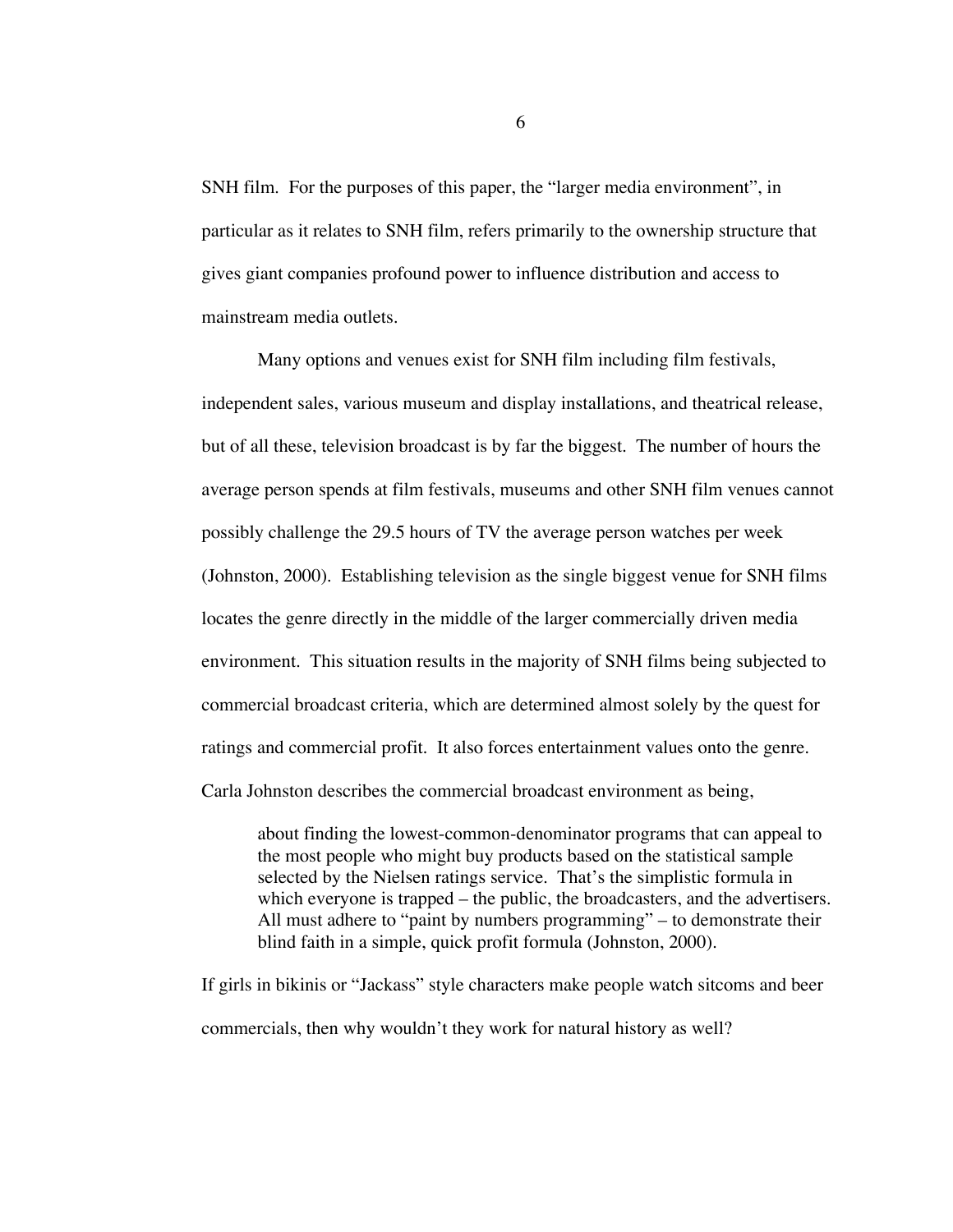SNH film. For the purposes of this paper, the "larger media environment", in particular as it relates to SNH film, refers primarily to the ownership structure that gives giant companies profound power to influence distribution and access to mainstream media outlets.

Many options and venues exist for SNH film including film festivals, independent sales, various museum and display installations, and theatrical release, but of all these, television broadcast is by far the biggest. The number of hours the average person spends at film festivals, museums and other SNH film venues cannot possibly challenge the 29.5 hours of TV the average person watches per week (Johnston, 2000). Establishing television as the single biggest venue for SNH films locates the genre directly in the middle of the larger commercially driven media environment. This situation results in the majority of SNH films being subjected to commercial broadcast criteria, which are determined almost solely by the quest for ratings and commercial profit. It also forces entertainment values onto the genre. Carla Johnston describes the commercial broadcast environment as being,

about finding the lowest-common-denominator programs that can appeal to the most people who might buy products based on the statistical sample selected by the Nielsen ratings service. That's the simplistic formula in which everyone is trapped – the public, the broadcasters, and the advertisers. All must adhere to "paint by numbers programming" – to demonstrate their blind faith in a simple, quick profit formula (Johnston, 2000).

If girls in bikinis or "Jackass" style characters make people watch sitcoms and beer commercials, then why wouldn't they work for natural history as well?

6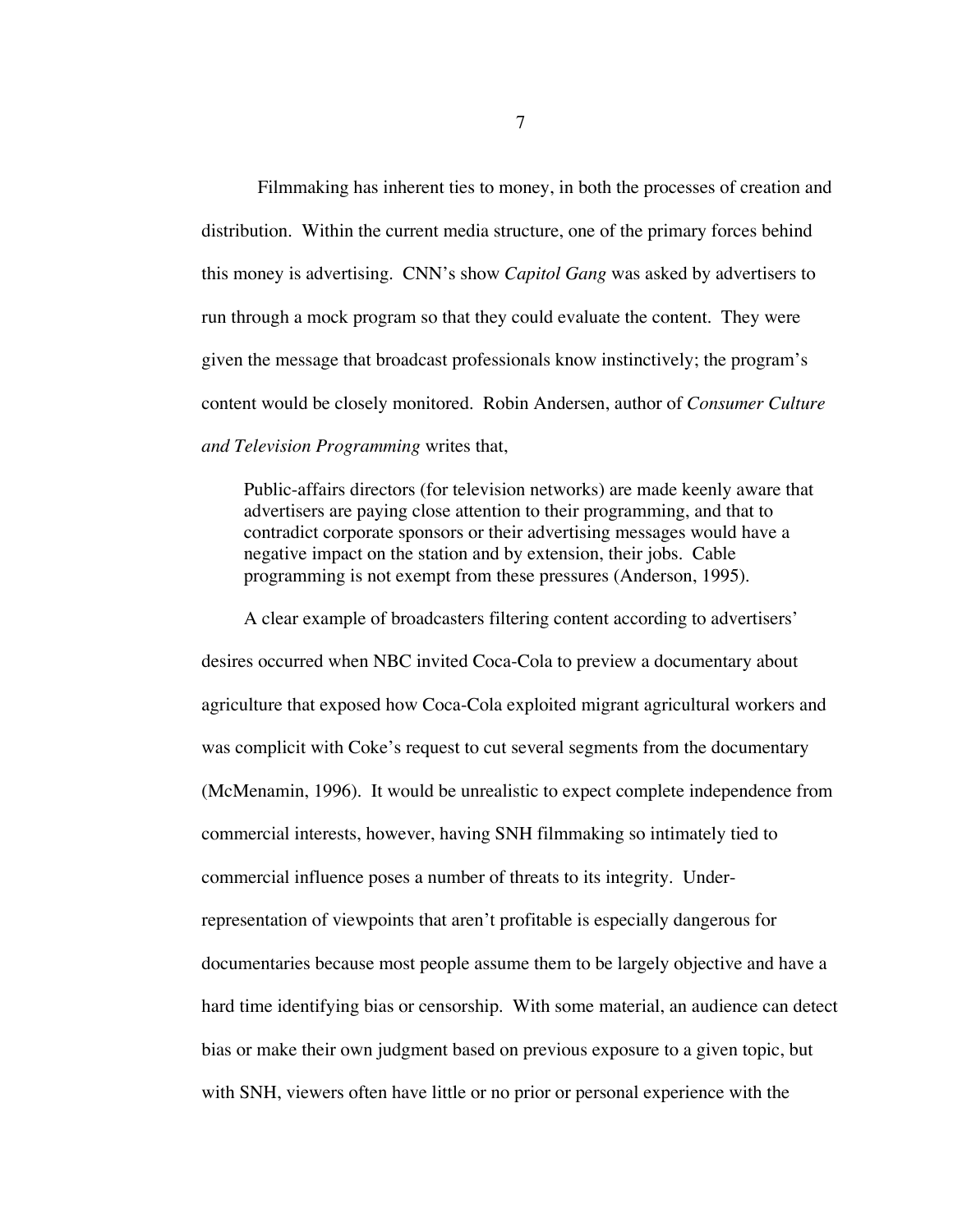Filmmaking has inherent ties to money, in both the processes of creation and distribution. Within the current media structure, one of the primary forces behind this money is advertising. CNN's show *Capitol Gang* was asked by advertisers to run through a mock program so that they could evaluate the content. They were given the message that broadcast professionals know instinctively; the program's content would be closely monitored. Robin Andersen, author of *Consumer Culture and Television Programming* writes that,

Public-affairs directors (for television networks) are made keenly aware that advertisers are paying close attention to their programming, and that to contradict corporate sponsors or their advertising messages would have a negative impact on the station and by extension, their jobs. Cable programming is not exempt from these pressures (Anderson, 1995).

A clear example of broadcasters filtering content according to advertisers' desires occurred when NBC invited Coca-Cola to preview a documentary about agriculture that exposed how Coca-Cola exploited migrant agricultural workers and was complicit with Coke's request to cut several segments from the documentary (McMenamin, 1996). It would be unrealistic to expect complete independence from commercial interests, however, having SNH filmmaking so intimately tied to commercial influence poses a number of threats to its integrity. Underrepresentation of viewpoints that aren't profitable is especially dangerous for documentaries because most people assume them to be largely objective and have a hard time identifying bias or censorship. With some material, an audience can detect bias or make their own judgment based on previous exposure to a given topic, but with SNH, viewers often have little or no prior or personal experience with the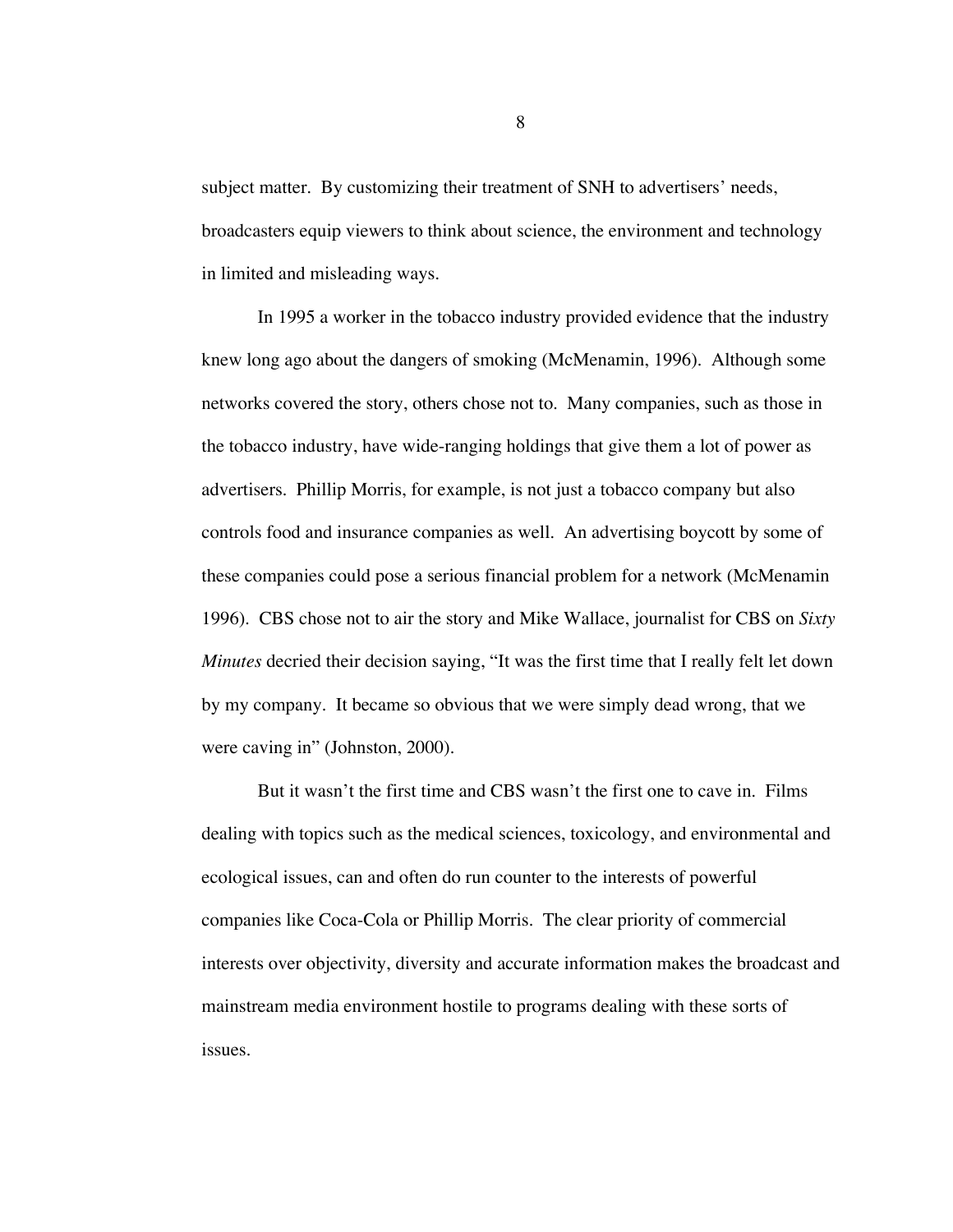subject matter. By customizing their treatment of SNH to advertisers' needs, broadcasters equip viewers to think about science, the environment and technology in limited and misleading ways.

In 1995 a worker in the tobacco industry provided evidence that the industry knew long ago about the dangers of smoking (McMenamin, 1996). Although some networks covered the story, others chose not to. Many companies, such as those in the tobacco industry, have wide-ranging holdings that give them a lot of power as advertisers. Phillip Morris, for example, is not just a tobacco company but also controls food and insurance companies as well. An advertising boycott by some of these companies could pose a serious financial problem for a network (McMenamin 1996). CBS chose not to air the story and Mike Wallace, journalist for CBS on *Sixty Minutes* decried their decision saying, "It was the first time that I really felt let down by my company. It became so obvious that we were simply dead wrong, that we were caving in" (Johnston, 2000).

But it wasn't the first time and CBS wasn't the first one to cave in. Films dealing with topics such as the medical sciences, toxicology, and environmental and ecological issues, can and often do run counter to the interests of powerful companies like Coca-Cola or Phillip Morris. The clear priority of commercial interests over objectivity, diversity and accurate information makes the broadcast and mainstream media environment hostile to programs dealing with these sorts of issues.

8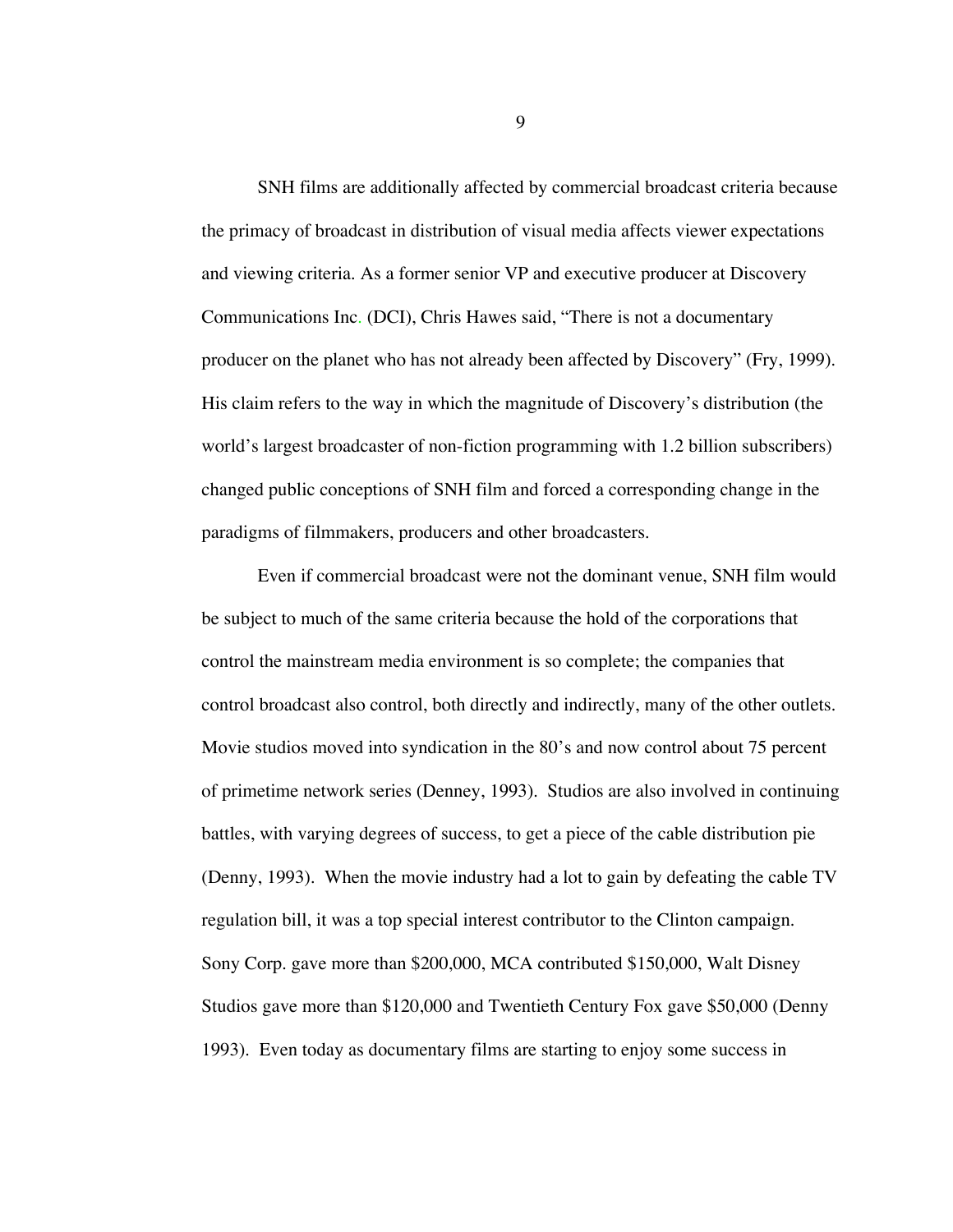SNH films are additionally affected by commercial broadcast criteria because the primacy of broadcast in distribution of visual media affects viewer expectations and viewing criteria. As a former senior VP and executive producer at Discovery Communications Inc. (DCI), Chris Hawes said, "There is not a documentary producer on the planet who has not already been affected by Discovery" (Fry, 1999). His claim refers to the way in which the magnitude of Discovery's distribution (the world's largest broadcaster of non-fiction programming with 1.2 billion subscribers) changed public conceptions of SNH film and forced a corresponding change in the paradigms of filmmakers, producers and other broadcasters.

Even if commercial broadcast were not the dominant venue, SNH film would be subject to much of the same criteria because the hold of the corporations that control the mainstream media environment is so complete; the companies that control broadcast also control, both directly and indirectly, many of the other outlets. Movie studios moved into syndication in the 80's and now control about 75 percent of primetime network series (Denney, 1993). Studios are also involved in continuing battles, with varying degrees of success, to get a piece of the cable distribution pie (Denny, 1993). When the movie industry had a lot to gain by defeating the cable TV regulation bill, it was a top special interest contributor to the Clinton campaign. Sony Corp. gave more than \$200,000, MCA contributed \$150,000, Walt Disney Studios gave more than \$120,000 and Twentieth Century Fox gave \$50,000 (Denny 1993). Even today as documentary films are starting to enjoy some success in

9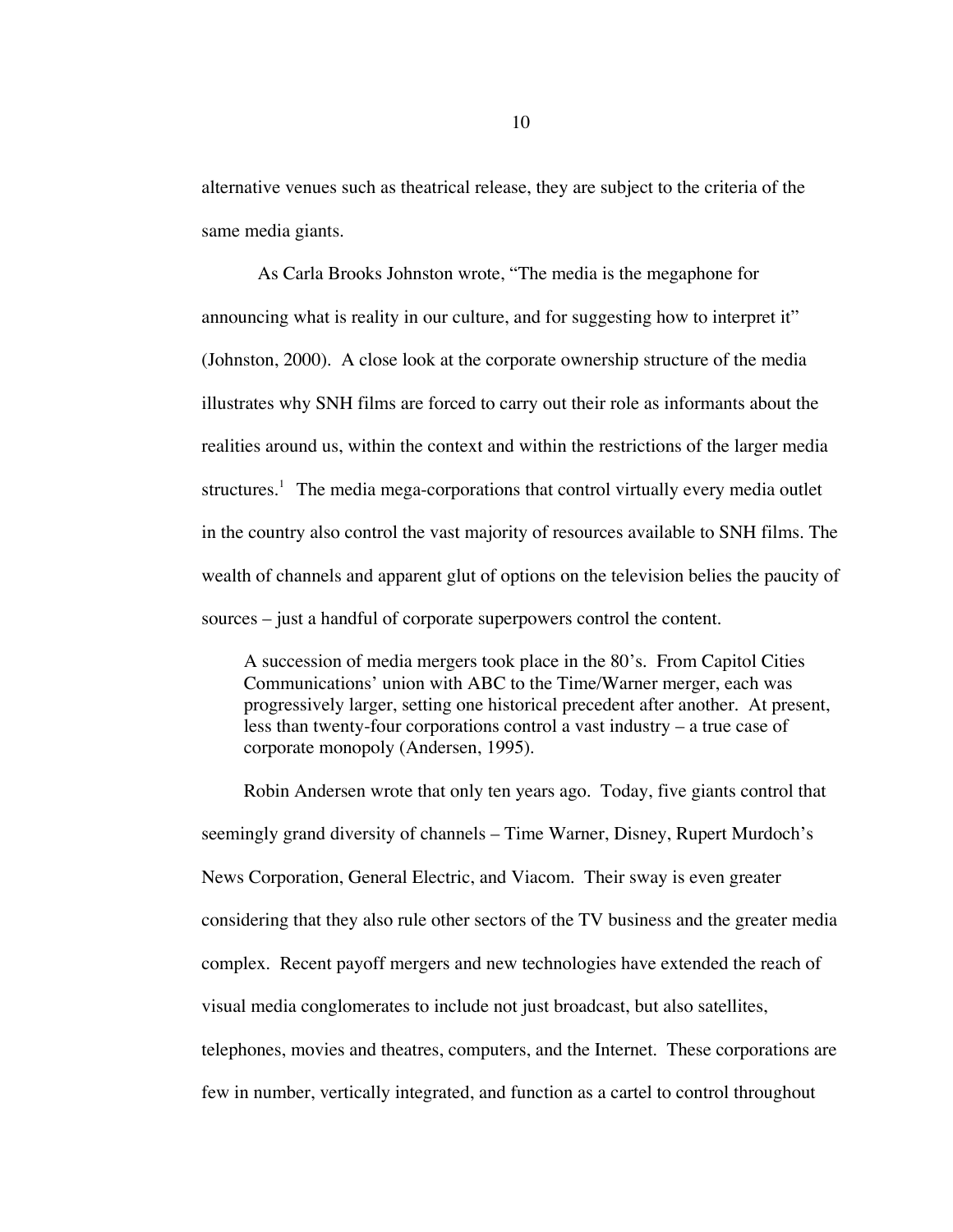alternative venues such as theatrical release, they are subject to the criteria of the same media giants.

As Carla Brooks Johnston wrote, "The media is the megaphone for announcing what is reality in our culture, and for suggesting how to interpret it" (Johnston, 2000). A close look at the corporate ownership structure of the media illustrates why SNH films are forced to carry out their role as informants about the realities around us, within the context and within the restrictions of the larger media structures.<sup>1</sup> The media mega-corporations that control virtually every media outlet in the country also control the vast majority of resources available to SNH films. The wealth of channels and apparent glut of options on the television belies the paucity of sources – just a handful of corporate superpowers control the content.

A succession of media mergers took place in the 80's. From Capitol Cities Communications' union with ABC to the Time/Warner merger, each was progressively larger, setting one historical precedent after another. At present, less than twenty-four corporations control a vast industry – a true case of corporate monopoly (Andersen, 1995).

Robin Andersen wrote that only ten years ago. Today, five giants control that seemingly grand diversity of channels – Time Warner, Disney, Rupert Murdoch's News Corporation, General Electric, and Viacom. Their sway is even greater considering that they also rule other sectors of the TV business and the greater media complex. Recent payoff mergers and new technologies have extended the reach of visual media conglomerates to include not just broadcast, but also satellites, telephones, movies and theatres, computers, and the Internet. These corporations are few in number, vertically integrated, and function as a cartel to control throughout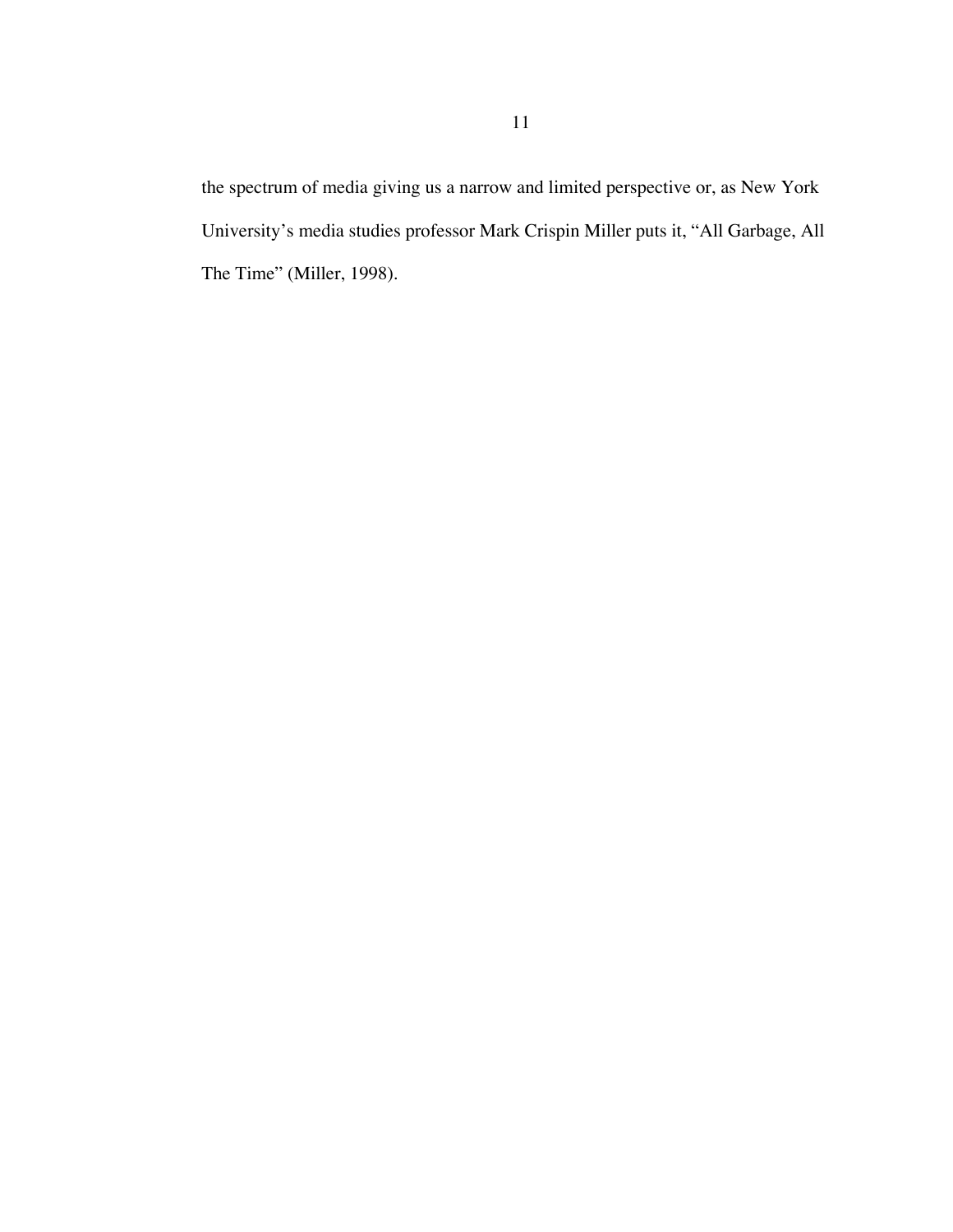the spectrum of media giving us a narrow and limited perspective or, as New York University's media studies professor Mark Crispin Miller puts it, "All Garbage, All The Time" (Miller, 1998).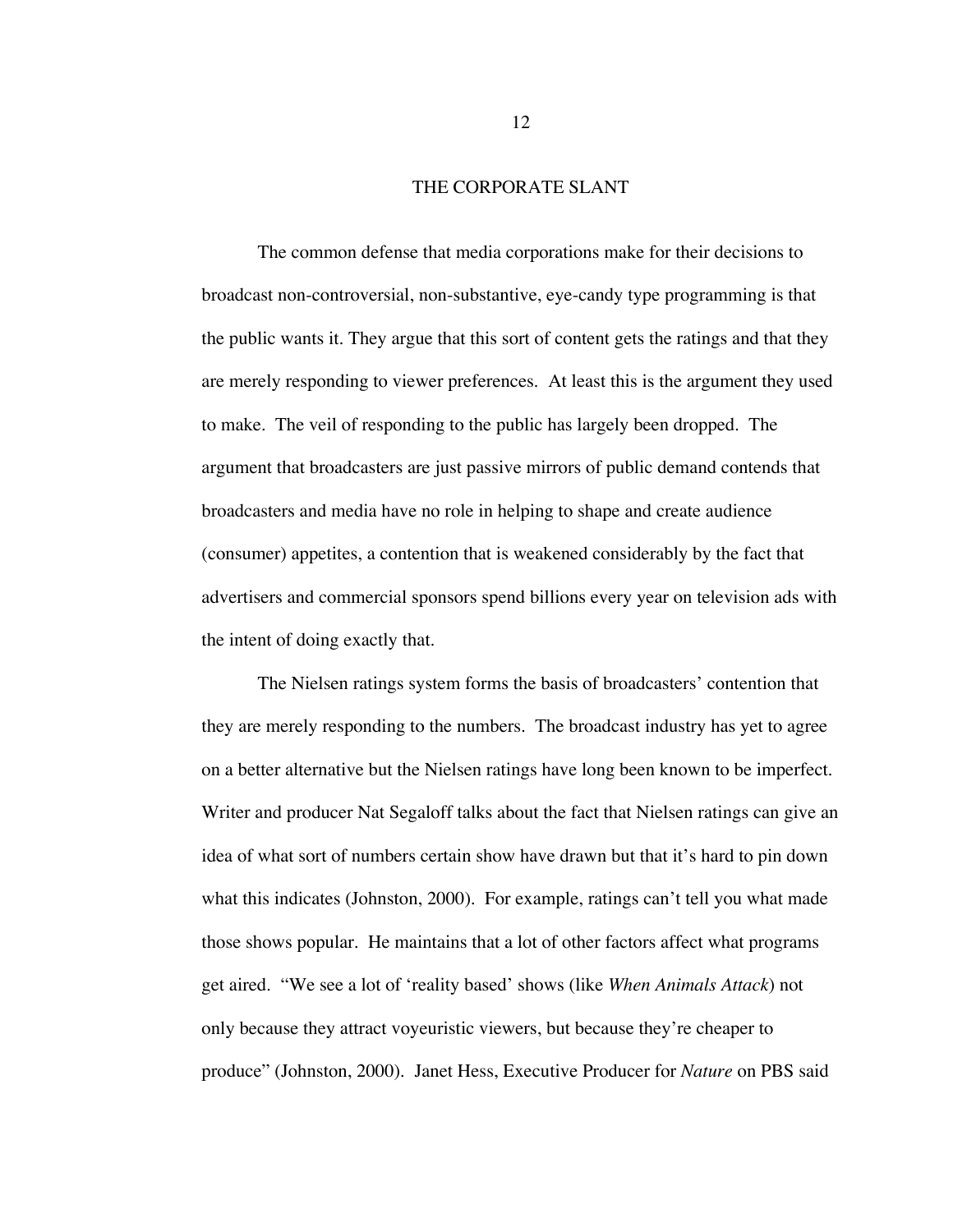### THE CORPORATE SLANT

The common defense that media corporations make for their decisions to broadcast non-controversial, non-substantive, eye-candy type programming is that the public wants it. They argue that this sort of content gets the ratings and that they are merely responding to viewer preferences. At least this is the argument they used to make. The veil of responding to the public has largely been dropped. The argument that broadcasters are just passive mirrors of public demand contends that broadcasters and media have no role in helping to shape and create audience (consumer) appetites, a contention that is weakened considerably by the fact that advertisers and commercial sponsors spend billions every year on television ads with the intent of doing exactly that.

The Nielsen ratings system forms the basis of broadcasters' contention that they are merely responding to the numbers. The broadcast industry has yet to agree on a better alternative but the Nielsen ratings have long been known to be imperfect. Writer and producer Nat Segaloff talks about the fact that Nielsen ratings can give an idea of what sort of numbers certain show have drawn but that it's hard to pin down what this indicates (Johnston, 2000). For example, ratings can't tell you what made those shows popular. He maintains that a lot of other factors affect what programs get aired. "We see a lot of 'reality based' shows (like *When Animals Attack*) not only because they attract voyeuristic viewers, but because they're cheaper to produce" (Johnston, 2000). Janet Hess, Executive Producer for *Nature* on PBS said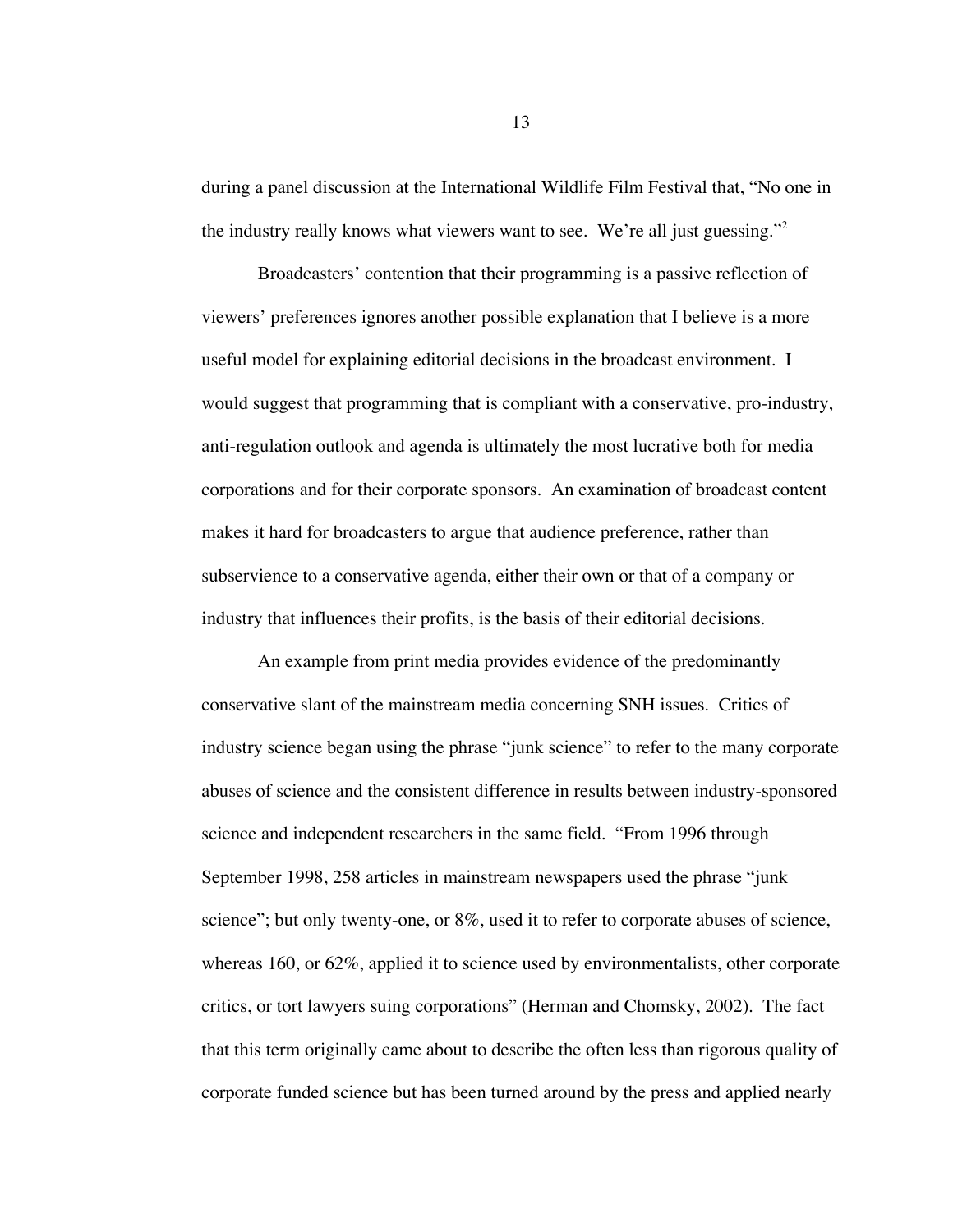during a panel discussion at the International Wildlife Film Festival that, "No one in the industry really knows what viewers want to see. We're all just guessing."<sup>2</sup>

Broadcasters' contention that their programming is a passive reflection of viewers' preferences ignores another possible explanation that I believe is a more useful model for explaining editorial decisions in the broadcast environment. I would suggest that programming that is compliant with a conservative, pro-industry, anti-regulation outlook and agenda is ultimately the most lucrative both for media corporations and for their corporate sponsors. An examination of broadcast content makes it hard for broadcasters to argue that audience preference, rather than subservience to a conservative agenda, either their own or that of a company or industry that influences their profits, is the basis of their editorial decisions.

An example from print media provides evidence of the predominantly conservative slant of the mainstream media concerning SNH issues. Critics of industry science began using the phrase "junk science" to refer to the many corporate abuses of science and the consistent difference in results between industry-sponsored science and independent researchers in the same field. "From 1996 through September 1998, 258 articles in mainstream newspapers used the phrase "junk science"; but only twenty-one, or 8%, used it to refer to corporate abuses of science, whereas 160, or 62%, applied it to science used by environmentalists, other corporate critics, or tort lawyers suing corporations" (Herman and Chomsky, 2002). The fact that this term originally came about to describe the often less than rigorous quality of corporate funded science but has been turned around by the press and applied nearly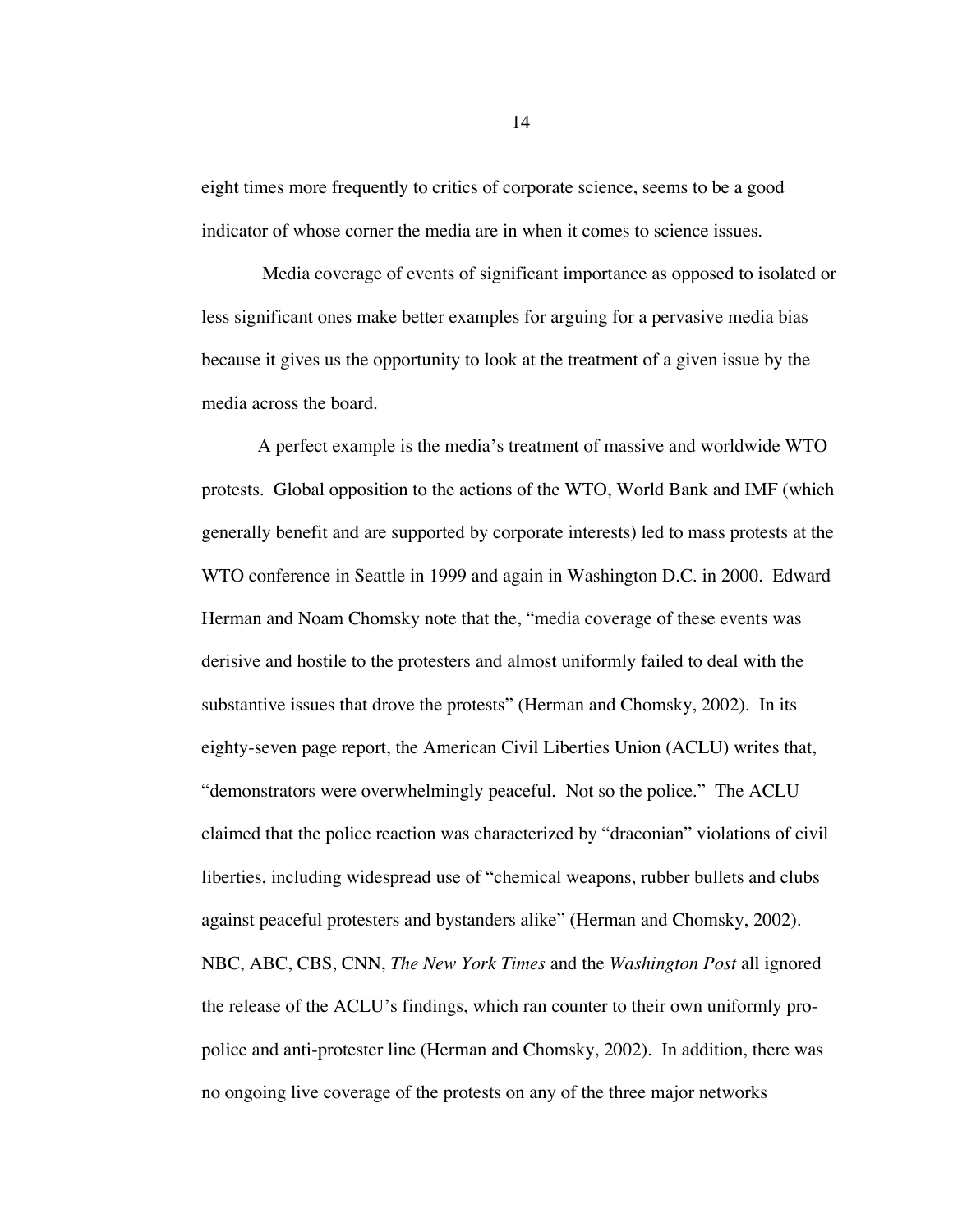eight times more frequently to critics of corporate science, seems to be a good indicator of whose corner the media are in when it comes to science issues.

 Media coverage of events of significant importance as opposed to isolated or less significant ones make better examples for arguing for a pervasive media bias because it gives us the opportunity to look at the treatment of a given issue by the media across the board.

A perfect example is the media's treatment of massive and worldwide WTO protests. Global opposition to the actions of the WTO, World Bank and IMF (which generally benefit and are supported by corporate interests) led to mass protests at the WTO conference in Seattle in 1999 and again in Washington D.C. in 2000. Edward Herman and Noam Chomsky note that the, "media coverage of these events was derisive and hostile to the protesters and almost uniformly failed to deal with the substantive issues that drove the protests" (Herman and Chomsky, 2002). In its eighty-seven page report, the American Civil Liberties Union (ACLU) writes that, "demonstrators were overwhelmingly peaceful. Not so the police." The ACLU claimed that the police reaction was characterized by "draconian" violations of civil liberties, including widespread use of "chemical weapons, rubber bullets and clubs against peaceful protesters and bystanders alike" (Herman and Chomsky, 2002). NBC, ABC, CBS, CNN, *The New York Times* and the *Washington Post* all ignored the release of the ACLU's findings, which ran counter to their own uniformly propolice and anti-protester line (Herman and Chomsky, 2002). In addition, there was no ongoing live coverage of the protests on any of the three major networks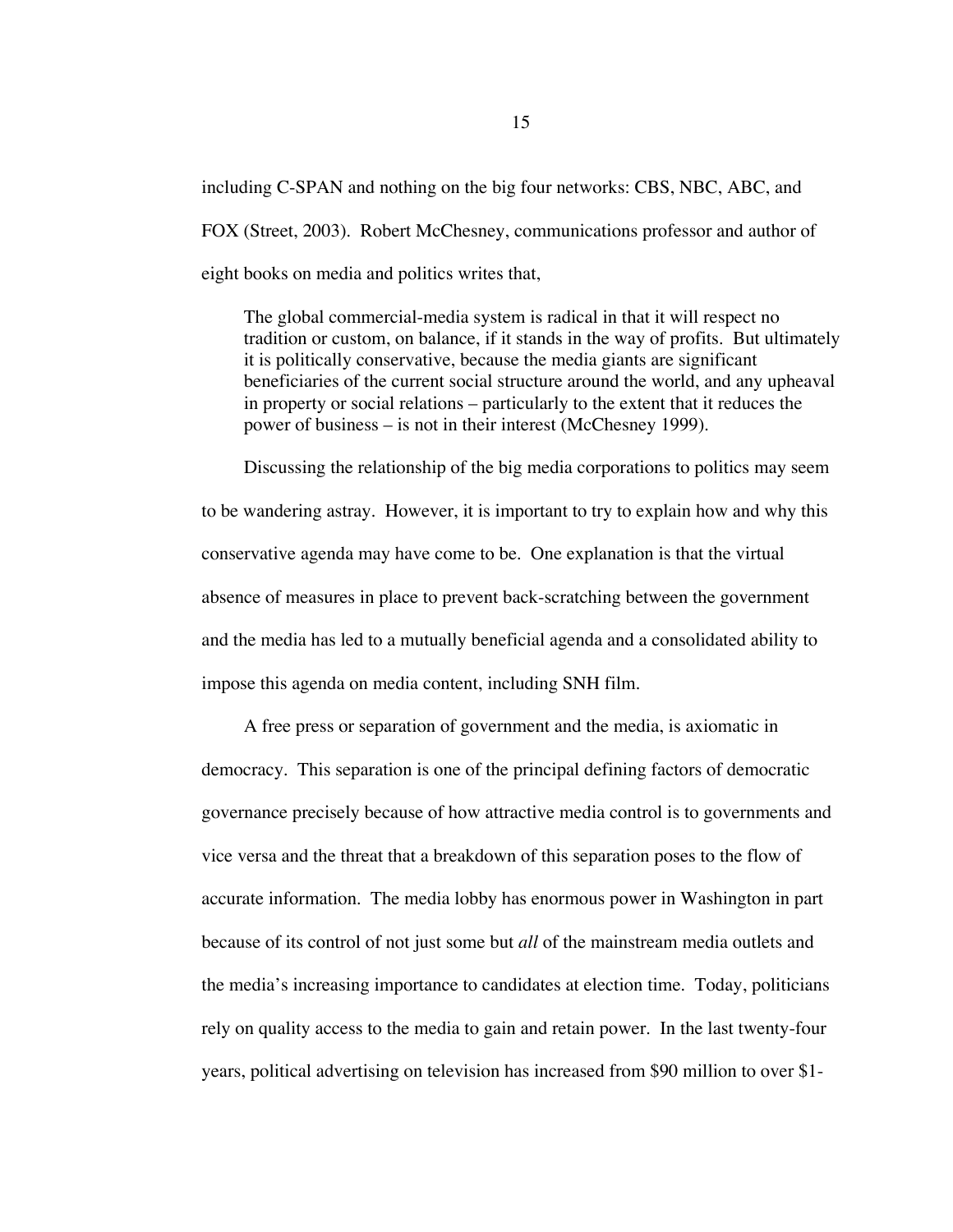including C-SPAN and nothing on the big four networks: CBS, NBC, ABC, and FOX (Street, 2003). Robert McChesney, communications professor and author of eight books on media and politics writes that,

The global commercial-media system is radical in that it will respect no tradition or custom, on balance, if it stands in the way of profits. But ultimately it is politically conservative, because the media giants are significant beneficiaries of the current social structure around the world, and any upheaval in property or social relations – particularly to the extent that it reduces the power of business – is not in their interest (McChesney 1999).

Discussing the relationship of the big media corporations to politics may seem to be wandering astray. However, it is important to try to explain how and why this conservative agenda may have come to be. One explanation is that the virtual absence of measures in place to prevent back-scratching between the government and the media has led to a mutually beneficial agenda and a consolidated ability to impose this agenda on media content, including SNH film.

A free press or separation of government and the media, is axiomatic in democracy. This separation is one of the principal defining factors of democratic governance precisely because of how attractive media control is to governments and vice versa and the threat that a breakdown of this separation poses to the flow of accurate information. The media lobby has enormous power in Washington in part because of its control of not just some but *all* of the mainstream media outlets and the media's increasing importance to candidates at election time. Today, politicians rely on quality access to the media to gain and retain power. In the last twenty-four years, political advertising on television has increased from \$90 million to over \$1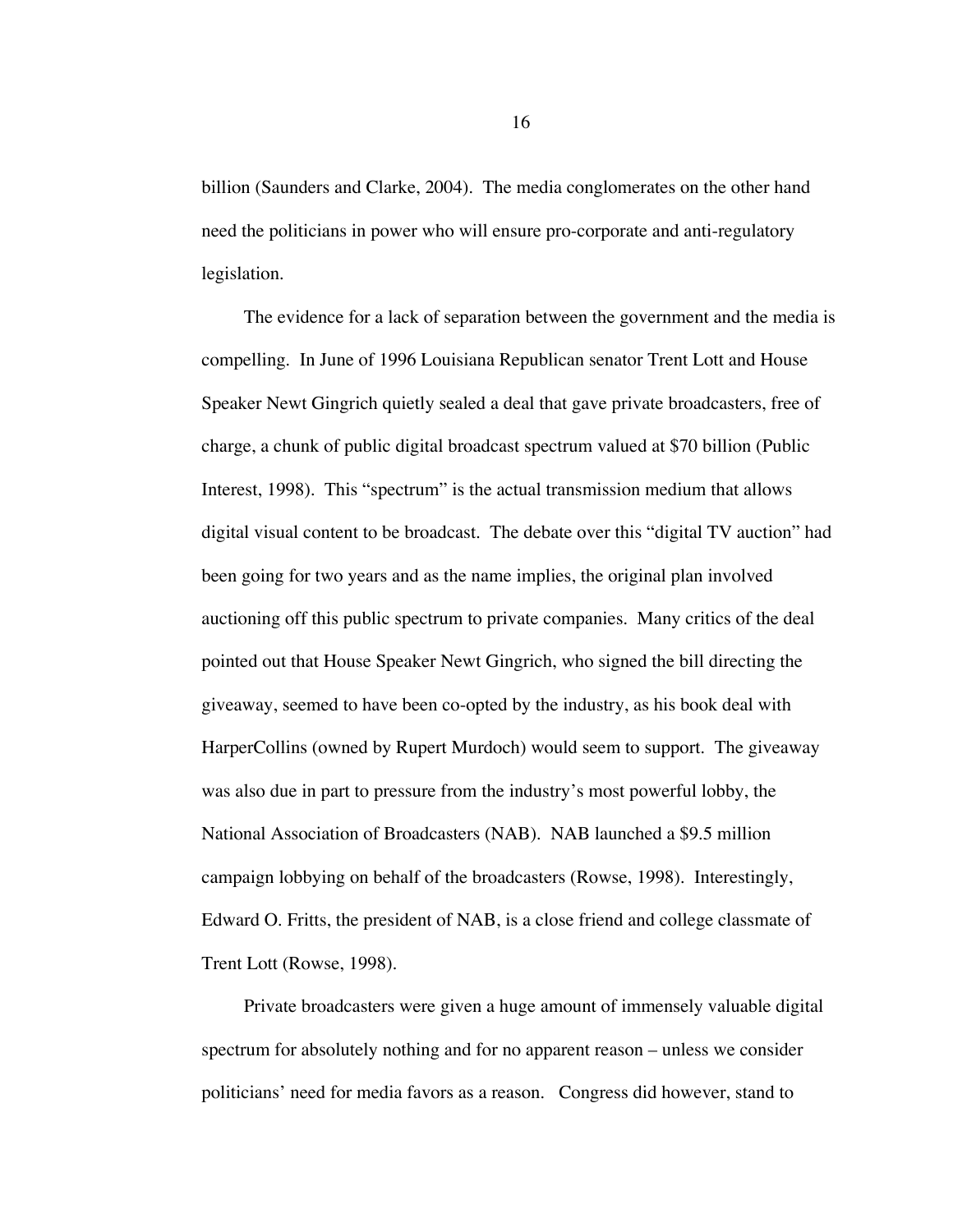billion (Saunders and Clarke, 2004). The media conglomerates on the other hand need the politicians in power who will ensure pro-corporate and anti-regulatory legislation.

The evidence for a lack of separation between the government and the media is compelling. In June of 1996 Louisiana Republican senator Trent Lott and House Speaker Newt Gingrich quietly sealed a deal that gave private broadcasters, free of charge, a chunk of public digital broadcast spectrum valued at \$70 billion (Public Interest, 1998). This "spectrum" is the actual transmission medium that allows digital visual content to be broadcast. The debate over this "digital TV auction" had been going for two years and as the name implies, the original plan involved auctioning off this public spectrum to private companies. Many critics of the deal pointed out that House Speaker Newt Gingrich, who signed the bill directing the giveaway, seemed to have been co-opted by the industry, as his book deal with HarperCollins (owned by Rupert Murdoch) would seem to support. The giveaway was also due in part to pressure from the industry's most powerful lobby, the National Association of Broadcasters (NAB). NAB launched a \$9.5 million campaign lobbying on behalf of the broadcasters (Rowse, 1998). Interestingly, Edward O. Fritts, the president of NAB, is a close friend and college classmate of Trent Lott (Rowse, 1998).

Private broadcasters were given a huge amount of immensely valuable digital spectrum for absolutely nothing and for no apparent reason – unless we consider politicians' need for media favors as a reason. Congress did however, stand to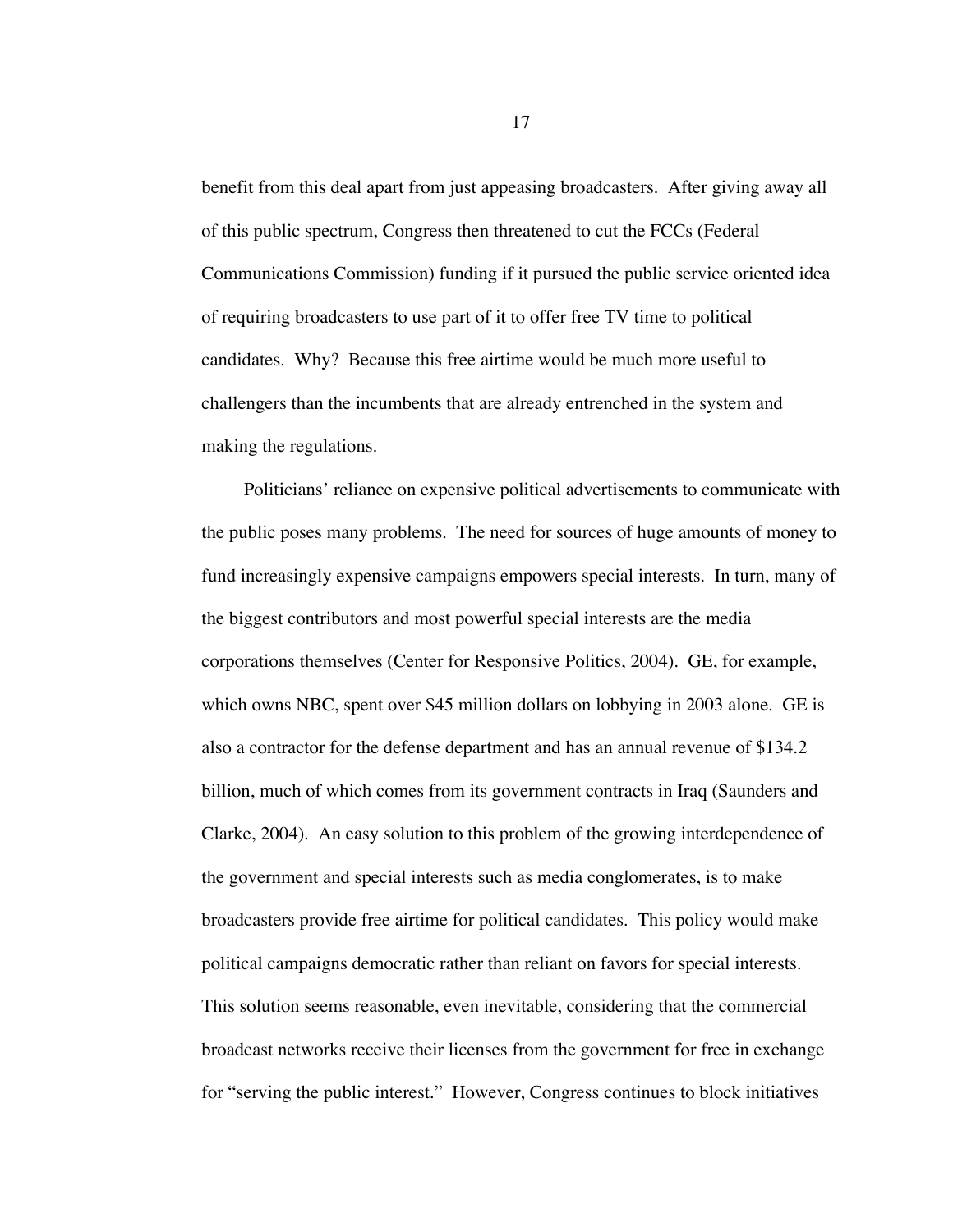benefit from this deal apart from just appeasing broadcasters. After giving away all of this public spectrum, Congress then threatened to cut the FCCs (Federal Communications Commission) funding if it pursued the public service oriented idea of requiring broadcasters to use part of it to offer free TV time to political candidates. Why? Because this free airtime would be much more useful to challengers than the incumbents that are already entrenched in the system and making the regulations.

Politicians' reliance on expensive political advertisements to communicate with the public poses many problems. The need for sources of huge amounts of money to fund increasingly expensive campaigns empowers special interests. In turn, many of the biggest contributors and most powerful special interests are the media corporations themselves (Center for Responsive Politics, 2004). GE, for example, which owns NBC, spent over \$45 million dollars on lobbying in 2003 alone. GE is also a contractor for the defense department and has an annual revenue of \$134.2 billion, much of which comes from its government contracts in Iraq (Saunders and Clarke, 2004). An easy solution to this problem of the growing interdependence of the government and special interests such as media conglomerates, is to make broadcasters provide free airtime for political candidates. This policy would make political campaigns democratic rather than reliant on favors for special interests. This solution seems reasonable, even inevitable, considering that the commercial broadcast networks receive their licenses from the government for free in exchange for "serving the public interest." However, Congress continues to block initiatives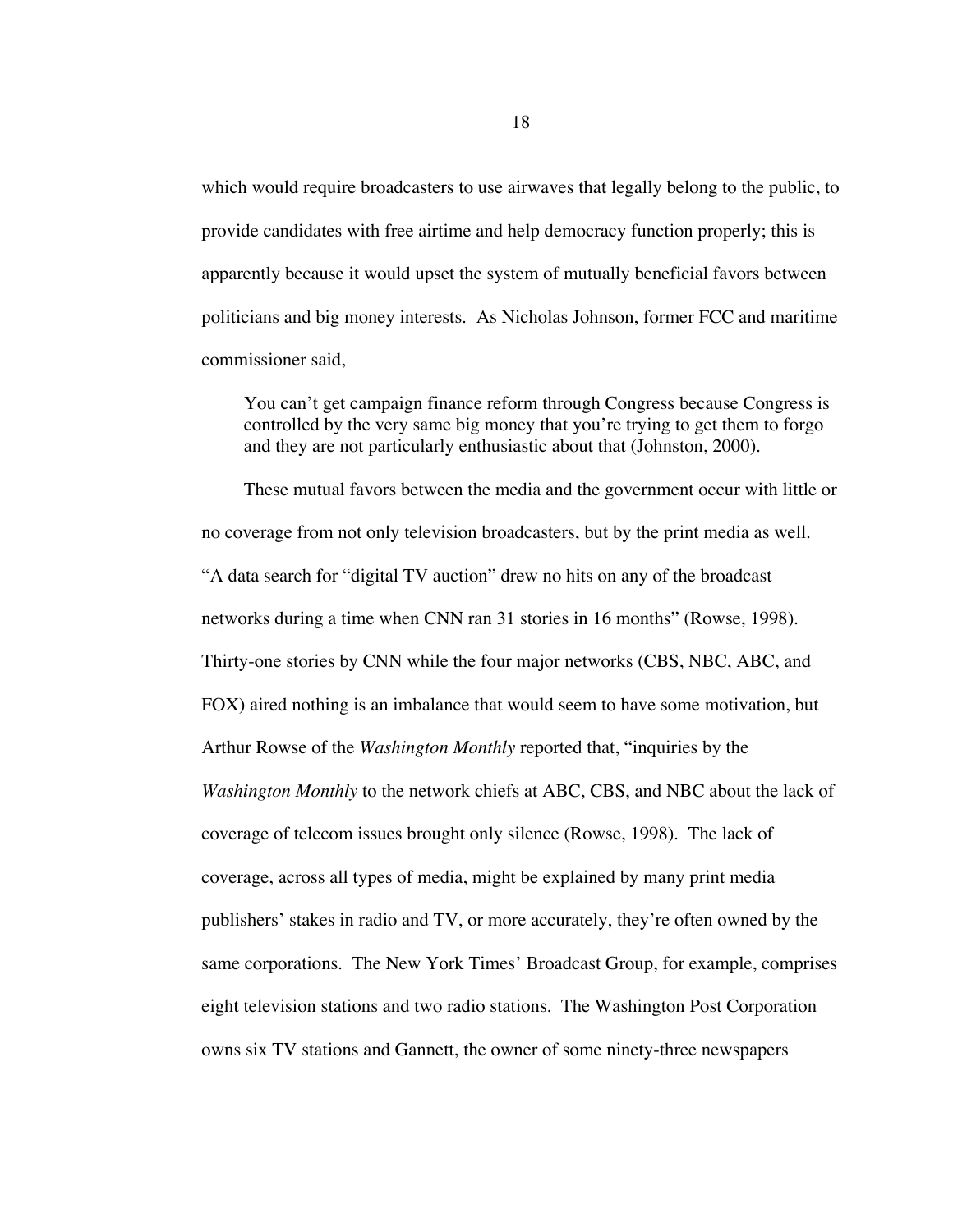which would require broadcasters to use airwaves that legally belong to the public, to provide candidates with free airtime and help democracy function properly; this is apparently because it would upset the system of mutually beneficial favors between politicians and big money interests. As Nicholas Johnson, former FCC and maritime commissioner said,

You can't get campaign finance reform through Congress because Congress is controlled by the very same big money that you're trying to get them to forgo and they are not particularly enthusiastic about that (Johnston, 2000).

These mutual favors between the media and the government occur with little or no coverage from not only television broadcasters, but by the print media as well. "A data search for "digital TV auction" drew no hits on any of the broadcast networks during a time when CNN ran 31 stories in 16 months" (Rowse, 1998). Thirty-one stories by CNN while the four major networks (CBS, NBC, ABC, and FOX) aired nothing is an imbalance that would seem to have some motivation, but Arthur Rowse of the *Washington Monthly* reported that, "inquiries by the *Washington Monthly* to the network chiefs at ABC, CBS, and NBC about the lack of coverage of telecom issues brought only silence (Rowse, 1998). The lack of coverage, across all types of media, might be explained by many print media publishers' stakes in radio and TV, or more accurately, they're often owned by the same corporations. The New York Times' Broadcast Group, for example, comprises eight television stations and two radio stations. The Washington Post Corporation owns six TV stations and Gannett, the owner of some ninety-three newspapers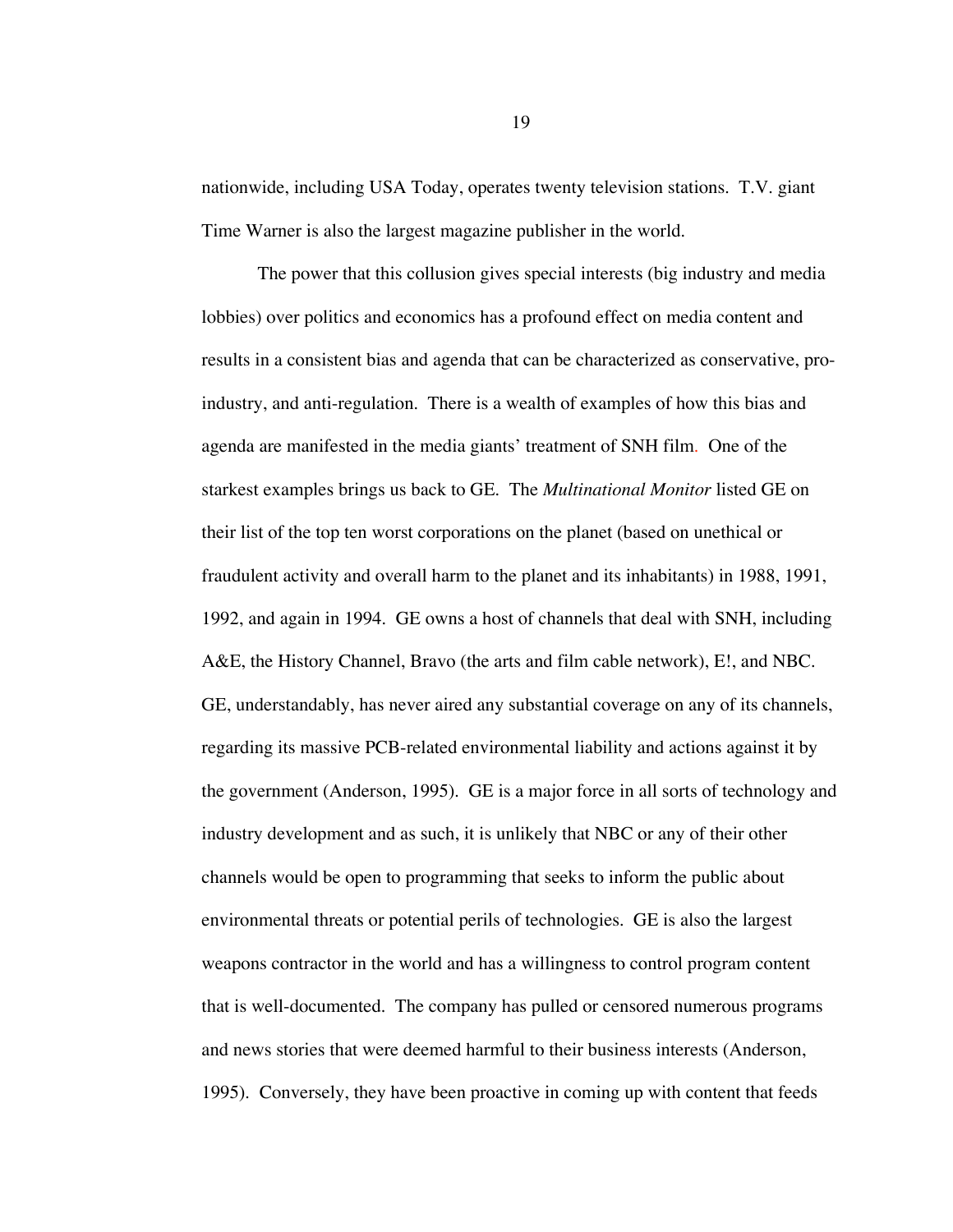nationwide, including USA Today, operates twenty television stations. T.V. giant Time Warner is also the largest magazine publisher in the world.

The power that this collusion gives special interests (big industry and media lobbies) over politics and economics has a profound effect on media content and results in a consistent bias and agenda that can be characterized as conservative, proindustry, and anti-regulation. There is a wealth of examples of how this bias and agenda are manifested in the media giants' treatment of SNH film. One of the starkest examples brings us back to GE. The *Multinational Monitor* listed GE on their list of the top ten worst corporations on the planet (based on unethical or fraudulent activity and overall harm to the planet and its inhabitants) in 1988, 1991, 1992, and again in 1994. GE owns a host of channels that deal with SNH, including A&E, the History Channel, Bravo (the arts and film cable network), E!, and NBC. GE, understandably, has never aired any substantial coverage on any of its channels, regarding its massive PCB-related environmental liability and actions against it by the government (Anderson, 1995). GE is a major force in all sorts of technology and industry development and as such, it is unlikely that NBC or any of their other channels would be open to programming that seeks to inform the public about environmental threats or potential perils of technologies. GE is also the largest weapons contractor in the world and has a willingness to control program content that is well-documented. The company has pulled or censored numerous programs and news stories that were deemed harmful to their business interests (Anderson, 1995). Conversely, they have been proactive in coming up with content that feeds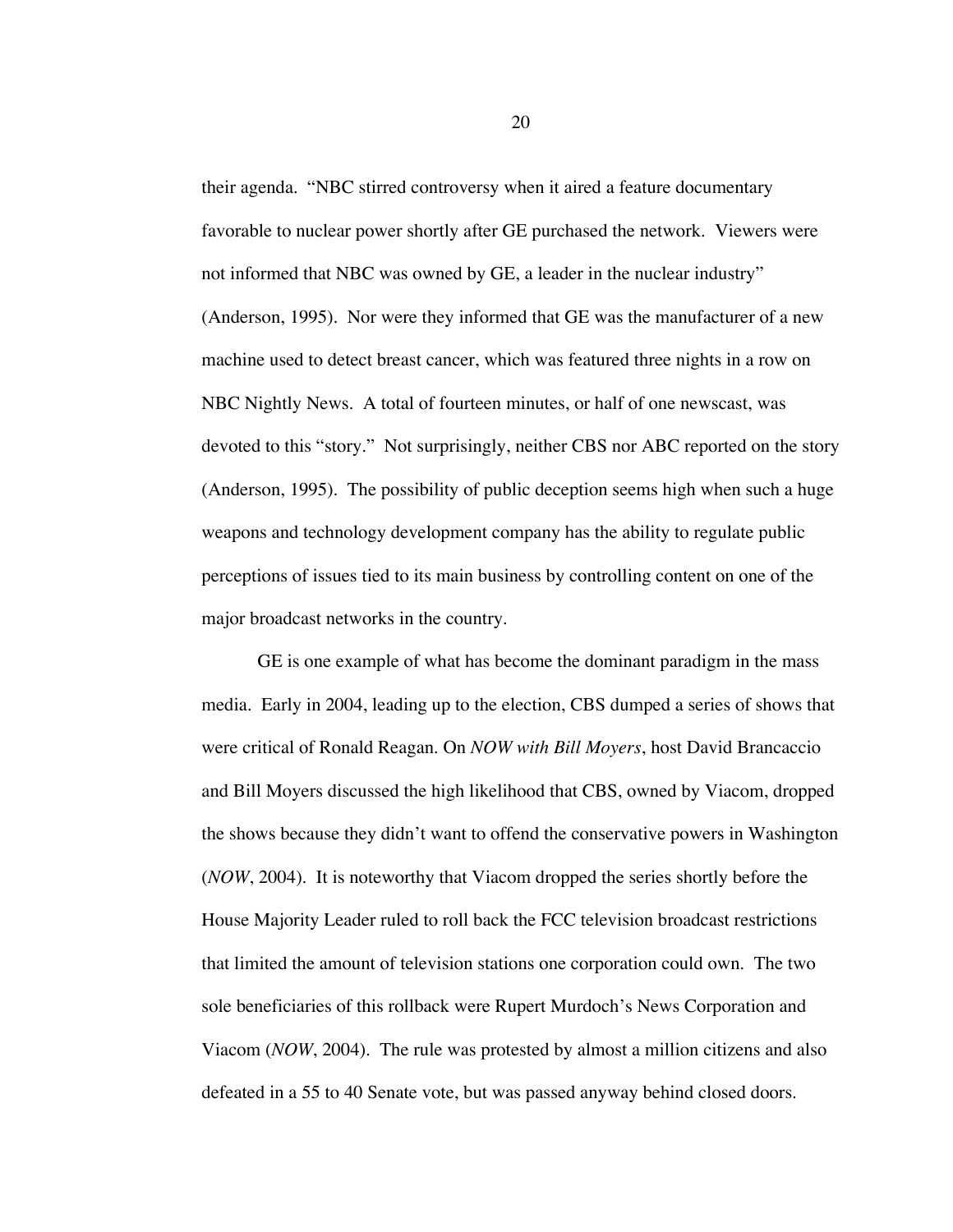their agenda. "NBC stirred controversy when it aired a feature documentary favorable to nuclear power shortly after GE purchased the network. Viewers were not informed that NBC was owned by GE, a leader in the nuclear industry" (Anderson, 1995). Nor were they informed that GE was the manufacturer of a new machine used to detect breast cancer, which was featured three nights in a row on NBC Nightly News. A total of fourteen minutes, or half of one newscast, was devoted to this "story." Not surprisingly, neither CBS nor ABC reported on the story (Anderson, 1995). The possibility of public deception seems high when such a huge weapons and technology development company has the ability to regulate public perceptions of issues tied to its main business by controlling content on one of the major broadcast networks in the country.

GE is one example of what has become the dominant paradigm in the mass media. Early in 2004, leading up to the election, CBS dumped a series of shows that were critical of Ronald Reagan. On *NOW with Bill Moyers*, host David Brancaccio and Bill Moyers discussed the high likelihood that CBS, owned by Viacom, dropped the shows because they didn't want to offend the conservative powers in Washington (*NOW*, 2004). It is noteworthy that Viacom dropped the series shortly before the House Majority Leader ruled to roll back the FCC television broadcast restrictions that limited the amount of television stations one corporation could own. The two sole beneficiaries of this rollback were Rupert Murdoch's News Corporation and Viacom (*NOW*, 2004). The rule was protested by almost a million citizens and also defeated in a 55 to 40 Senate vote, but was passed anyway behind closed doors.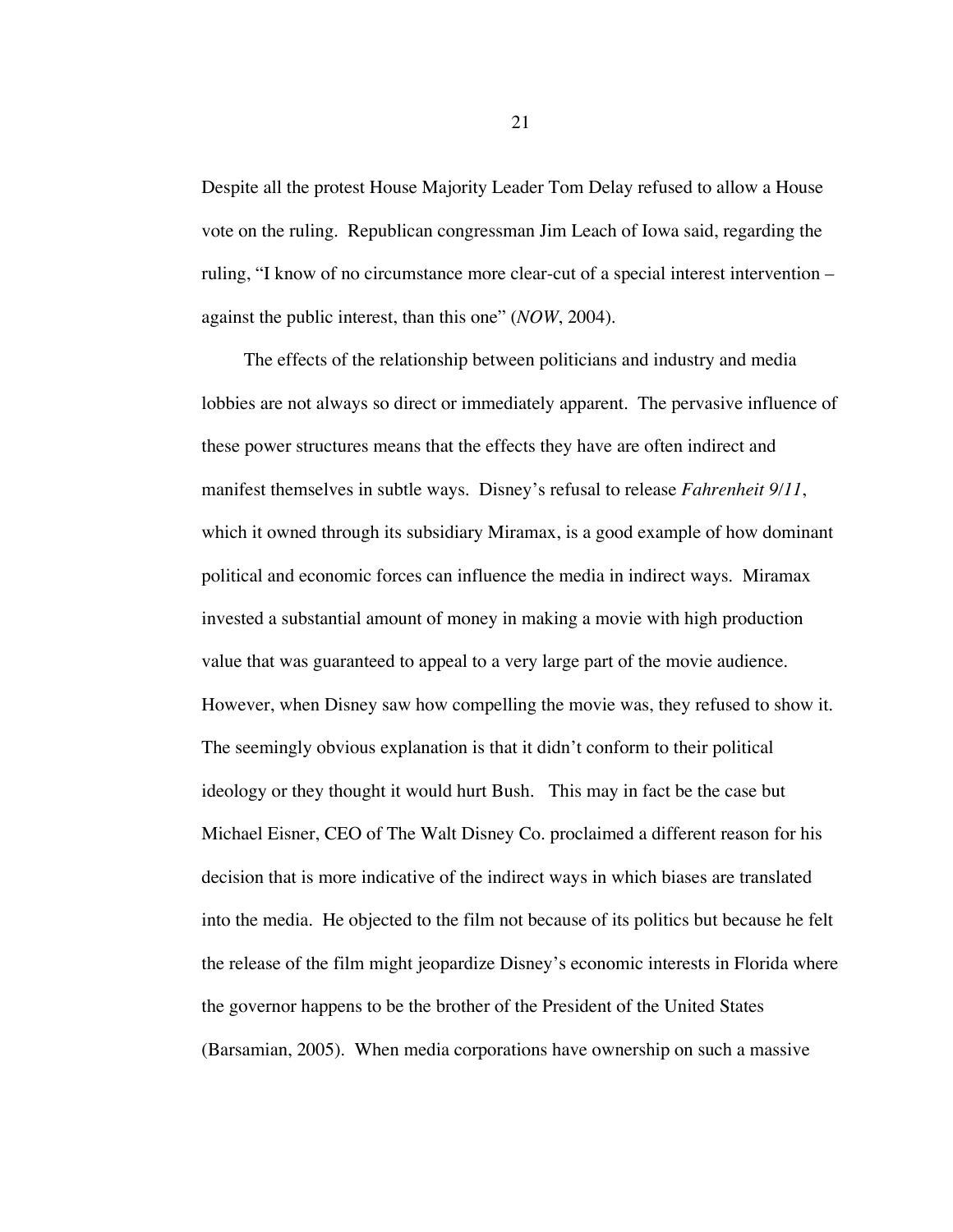Despite all the protest House Majority Leader Tom Delay refused to allow a House vote on the ruling. Republican congressman Jim Leach of Iowa said, regarding the ruling, "I know of no circumstance more clear-cut of a special interest intervention – against the public interest, than this one" (*NOW*, 2004).

The effects of the relationship between politicians and industry and media lobbies are not always so direct or immediately apparent. The pervasive influence of these power structures means that the effects they have are often indirect and manifest themselves in subtle ways. Disney's refusal to release *Fahrenheit 9/11*, which it owned through its subsidiary Miramax, is a good example of how dominant political and economic forces can influence the media in indirect ways. Miramax invested a substantial amount of money in making a movie with high production value that was guaranteed to appeal to a very large part of the movie audience. However, when Disney saw how compelling the movie was, they refused to show it. The seemingly obvious explanation is that it didn't conform to their political ideology or they thought it would hurt Bush. This may in fact be the case but Michael Eisner, CEO of The Walt Disney Co. proclaimed a different reason for his decision that is more indicative of the indirect ways in which biases are translated into the media. He objected to the film not because of its politics but because he felt the release of the film might jeopardize Disney's economic interests in Florida where the governor happens to be the brother of the President of the United States (Barsamian, 2005). When media corporations have ownership on such a massive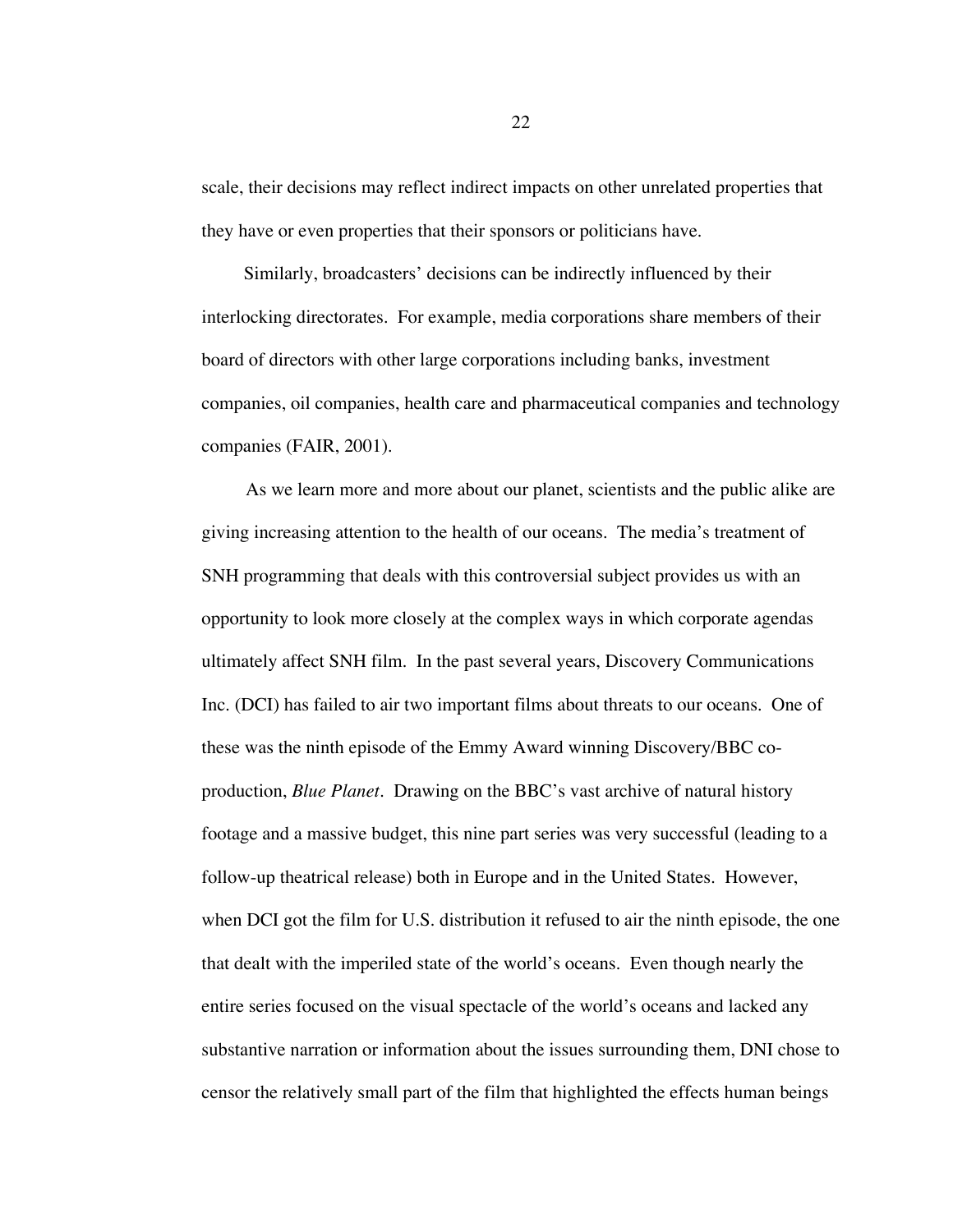scale, their decisions may reflect indirect impacts on other unrelated properties that they have or even properties that their sponsors or politicians have.

Similarly, broadcasters' decisions can be indirectly influenced by their interlocking directorates. For example, media corporations share members of their board of directors with other large corporations including banks, investment companies, oil companies, health care and pharmaceutical companies and technology companies (FAIR, 2001).

As we learn more and more about our planet, scientists and the public alike are giving increasing attention to the health of our oceans. The media's treatment of SNH programming that deals with this controversial subject provides us with an opportunity to look more closely at the complex ways in which corporate agendas ultimately affect SNH film. In the past several years, Discovery Communications Inc. (DCI) has failed to air two important films about threats to our oceans. One of these was the ninth episode of the Emmy Award winning Discovery/BBC coproduction, *Blue Planet*. Drawing on the BBC's vast archive of natural history footage and a massive budget, this nine part series was very successful (leading to a follow-up theatrical release) both in Europe and in the United States. However, when DCI got the film for U.S. distribution it refused to air the ninth episode, the one that dealt with the imperiled state of the world's oceans. Even though nearly the entire series focused on the visual spectacle of the world's oceans and lacked any substantive narration or information about the issues surrounding them, DNI chose to censor the relatively small part of the film that highlighted the effects human beings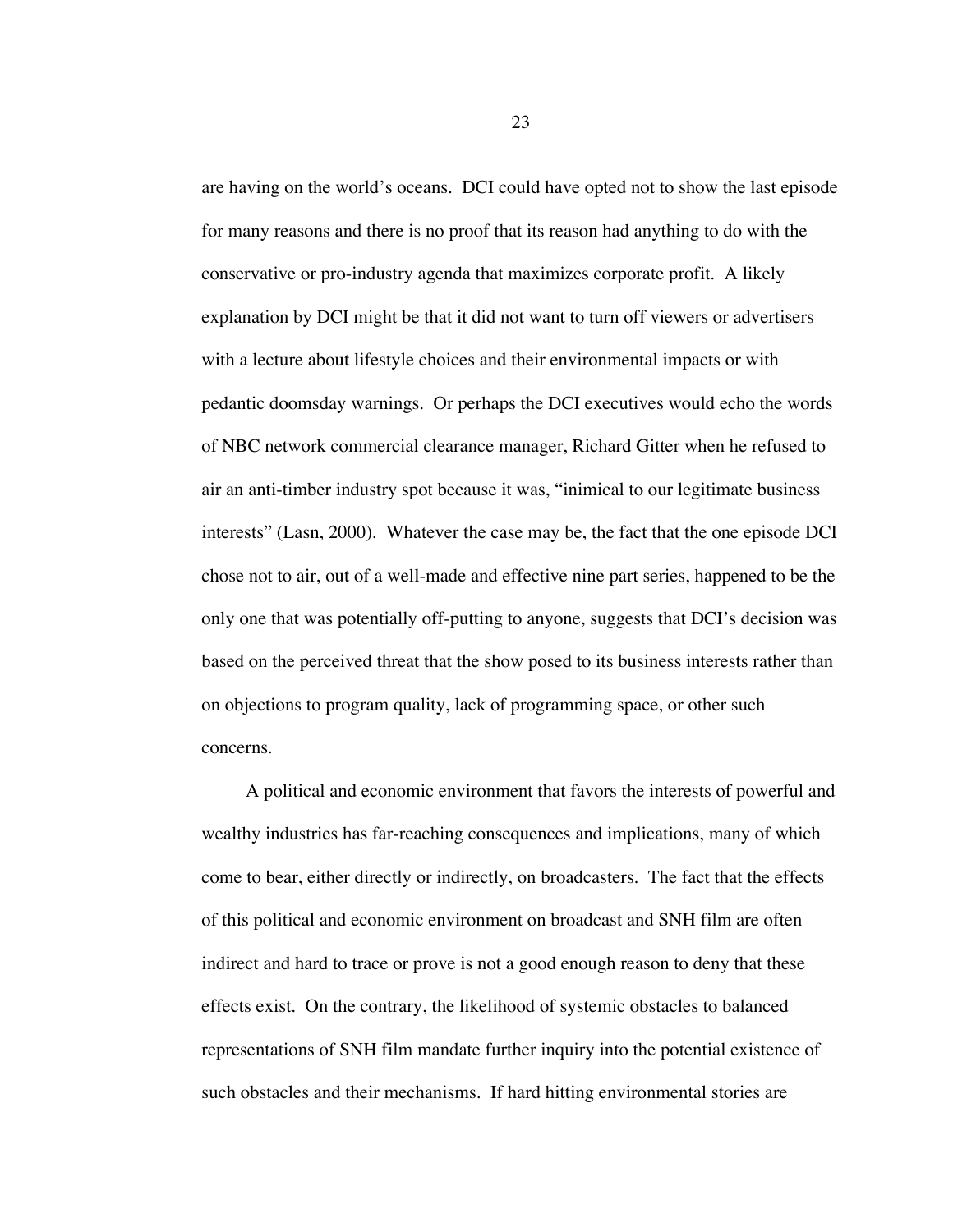are having on the world's oceans. DCI could have opted not to show the last episode for many reasons and there is no proof that its reason had anything to do with the conservative or pro-industry agenda that maximizes corporate profit. A likely explanation by DCI might be that it did not want to turn off viewers or advertisers with a lecture about lifestyle choices and their environmental impacts or with pedantic doomsday warnings. Or perhaps the DCI executives would echo the words of NBC network commercial clearance manager, Richard Gitter when he refused to air an anti-timber industry spot because it was, "inimical to our legitimate business interests" (Lasn, 2000). Whatever the case may be, the fact that the one episode DCI chose not to air, out of a well-made and effective nine part series, happened to be the only one that was potentially off-putting to anyone, suggests that DCI's decision was based on the perceived threat that the show posed to its business interests rather than on objections to program quality, lack of programming space, or other such concerns.

A political and economic environment that favors the interests of powerful and wealthy industries has far-reaching consequences and implications, many of which come to bear, either directly or indirectly, on broadcasters. The fact that the effects of this political and economic environment on broadcast and SNH film are often indirect and hard to trace or prove is not a good enough reason to deny that these effects exist. On the contrary, the likelihood of systemic obstacles to balanced representations of SNH film mandate further inquiry into the potential existence of such obstacles and their mechanisms. If hard hitting environmental stories are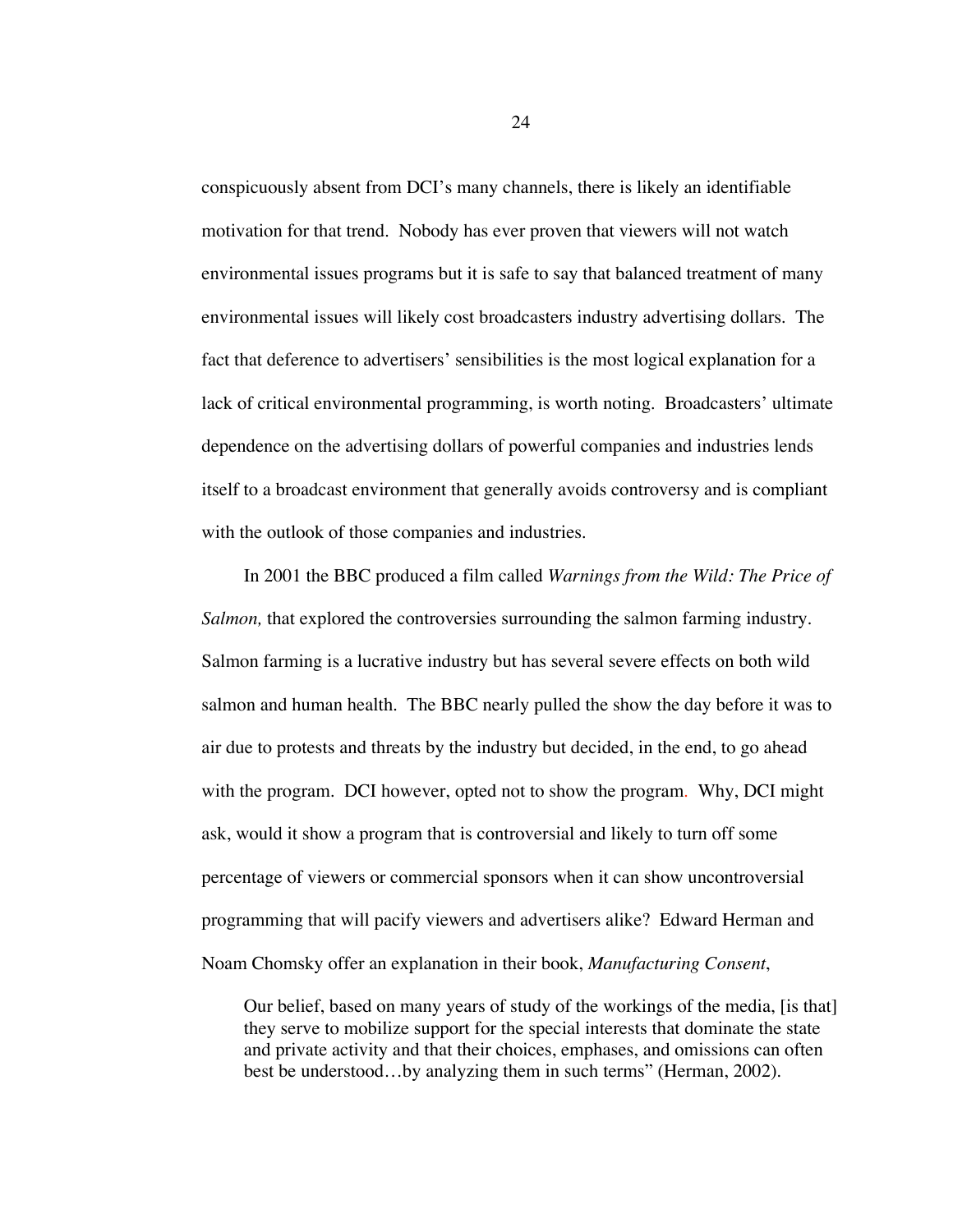conspicuously absent from DCI's many channels, there is likely an identifiable motivation for that trend. Nobody has ever proven that viewers will not watch environmental issues programs but it is safe to say that balanced treatment of many environmental issues will likely cost broadcasters industry advertising dollars. The fact that deference to advertisers' sensibilities is the most logical explanation for a lack of critical environmental programming, is worth noting. Broadcasters' ultimate dependence on the advertising dollars of powerful companies and industries lends itself to a broadcast environment that generally avoids controversy and is compliant with the outlook of those companies and industries.

In 2001 the BBC produced a film called *Warnings from the Wild: The Price of Salmon,* that explored the controversies surrounding the salmon farming industry. Salmon farming is a lucrative industry but has several severe effects on both wild salmon and human health. The BBC nearly pulled the show the day before it was to air due to protests and threats by the industry but decided, in the end, to go ahead with the program. DCI however, opted not to show the program. Why, DCI might ask, would it show a program that is controversial and likely to turn off some percentage of viewers or commercial sponsors when it can show uncontroversial programming that will pacify viewers and advertisers alike? Edward Herman and Noam Chomsky offer an explanation in their book, *Manufacturing Consent*,

Our belief, based on many years of study of the workings of the media, [is that] they serve to mobilize support for the special interests that dominate the state and private activity and that their choices, emphases, and omissions can often best be understood…by analyzing them in such terms" (Herman, 2002).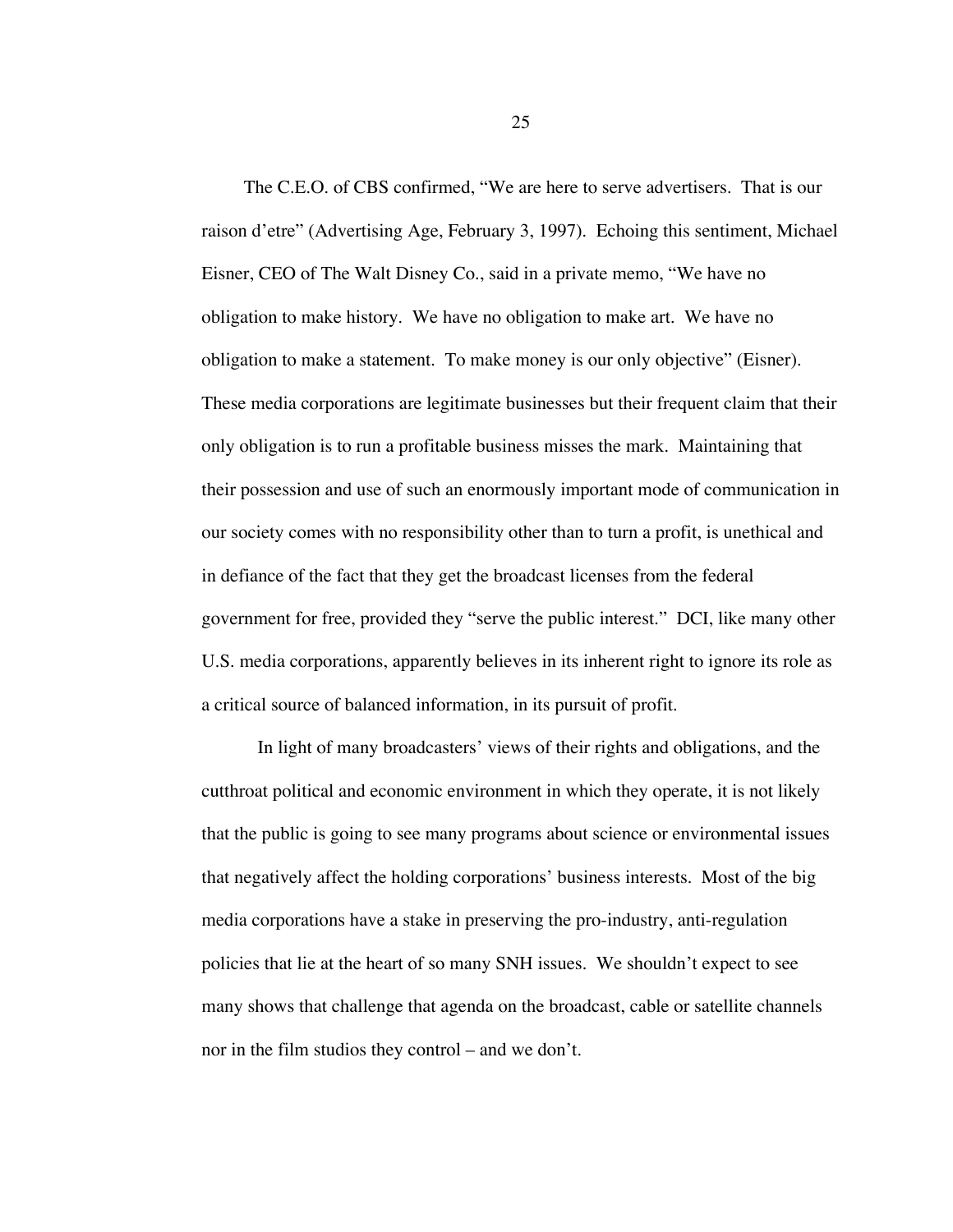The C.E.O. of CBS confirmed, "We are here to serve advertisers. That is our raison d'etre" (Advertising Age, February 3, 1997). Echoing this sentiment, Michael Eisner, CEO of The Walt Disney Co., said in a private memo, "We have no obligation to make history. We have no obligation to make art. We have no obligation to make a statement. To make money is our only objective" (Eisner). These media corporations are legitimate businesses but their frequent claim that their only obligation is to run a profitable business misses the mark. Maintaining that their possession and use of such an enormously important mode of communication in our society comes with no responsibility other than to turn a profit, is unethical and in defiance of the fact that they get the broadcast licenses from the federal government for free, provided they "serve the public interest." DCI, like many other U.S. media corporations, apparently believes in its inherent right to ignore its role as a critical source of balanced information, in its pursuit of profit.

In light of many broadcasters' views of their rights and obligations, and the cutthroat political and economic environment in which they operate, it is not likely that the public is going to see many programs about science or environmental issues that negatively affect the holding corporations' business interests. Most of the big media corporations have a stake in preserving the pro-industry, anti-regulation policies that lie at the heart of so many SNH issues. We shouldn't expect to see many shows that challenge that agenda on the broadcast, cable or satellite channels nor in the film studios they control – and we don't.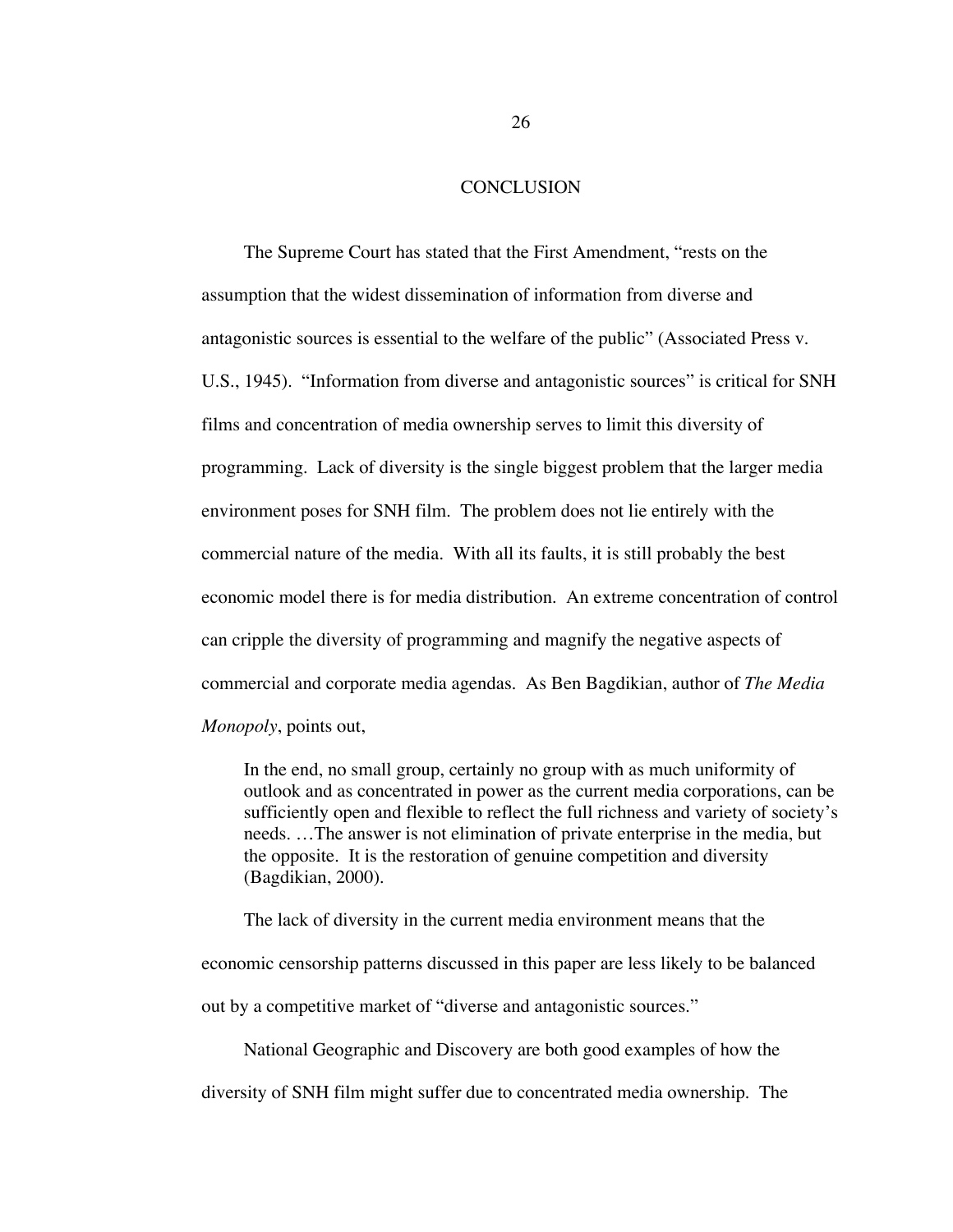### **CONCLUSION**

The Supreme Court has stated that the First Amendment, "rests on the assumption that the widest dissemination of information from diverse and antagonistic sources is essential to the welfare of the public" (Associated Press v. U.S., 1945). "Information from diverse and antagonistic sources" is critical for SNH films and concentration of media ownership serves to limit this diversity of programming. Lack of diversity is the single biggest problem that the larger media environment poses for SNH film. The problem does not lie entirely with the commercial nature of the media. With all its faults, it is still probably the best economic model there is for media distribution. An extreme concentration of control can cripple the diversity of programming and magnify the negative aspects of commercial and corporate media agendas. As Ben Bagdikian, author of *The Media Monopoly*, points out,

In the end, no small group, certainly no group with as much uniformity of outlook and as concentrated in power as the current media corporations, can be sufficiently open and flexible to reflect the full richness and variety of society's needs. …The answer is not elimination of private enterprise in the media, but the opposite. It is the restoration of genuine competition and diversity (Bagdikian, 2000).

The lack of diversity in the current media environment means that the economic censorship patterns discussed in this paper are less likely to be balanced out by a competitive market of "diverse and antagonistic sources."

National Geographic and Discovery are both good examples of how the

diversity of SNH film might suffer due to concentrated media ownership. The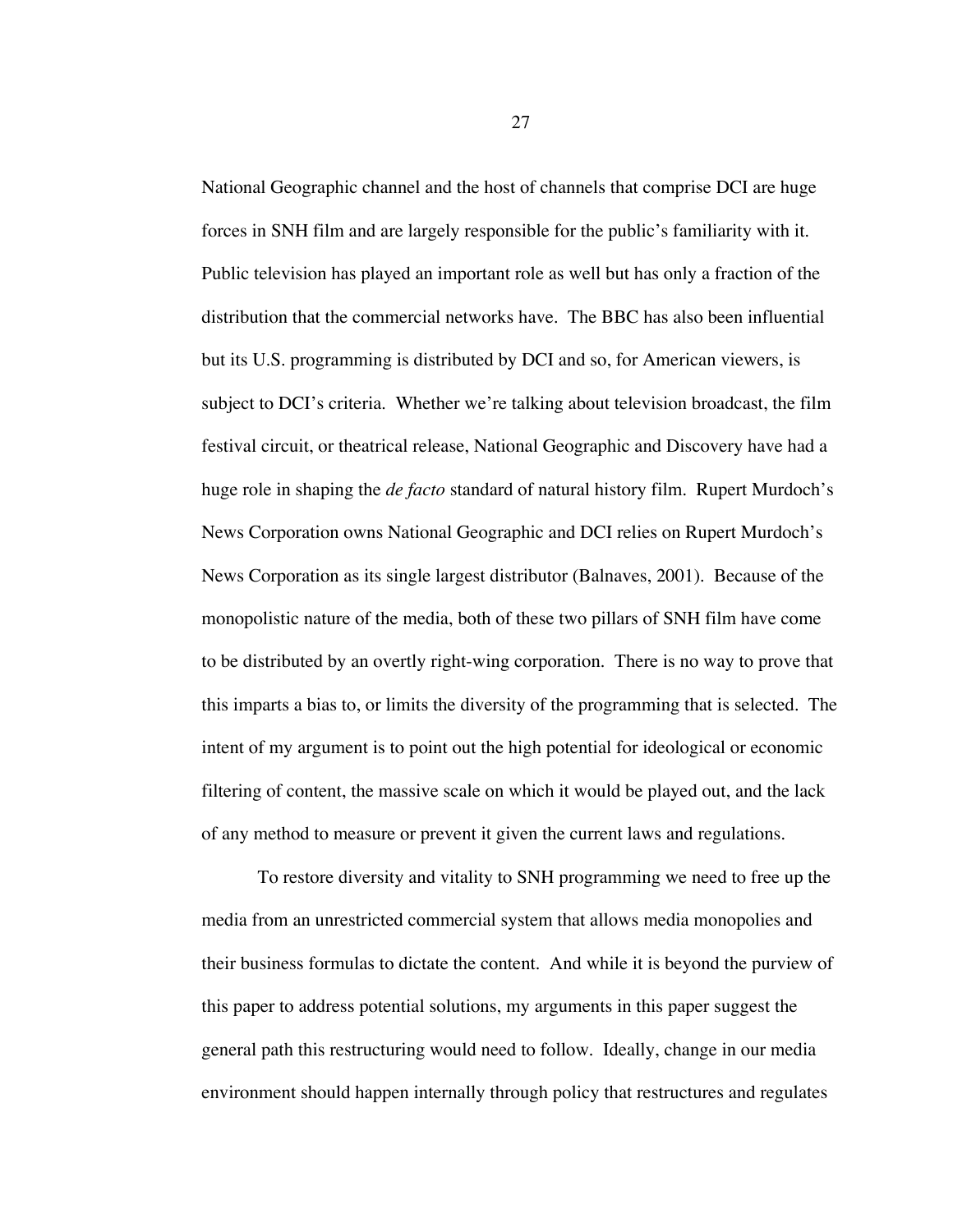National Geographic channel and the host of channels that comprise DCI are huge forces in SNH film and are largely responsible for the public's familiarity with it. Public television has played an important role as well but has only a fraction of the distribution that the commercial networks have. The BBC has also been influential but its U.S. programming is distributed by DCI and so, for American viewers, is subject to DCI's criteria. Whether we're talking about television broadcast, the film festival circuit, or theatrical release, National Geographic and Discovery have had a huge role in shaping the *de facto* standard of natural history film. Rupert Murdoch's News Corporation owns National Geographic and DCI relies on Rupert Murdoch's News Corporation as its single largest distributor (Balnaves, 2001). Because of the monopolistic nature of the media, both of these two pillars of SNH film have come to be distributed by an overtly right-wing corporation. There is no way to prove that this imparts a bias to, or limits the diversity of the programming that is selected. The intent of my argument is to point out the high potential for ideological or economic filtering of content, the massive scale on which it would be played out, and the lack of any method to measure or prevent it given the current laws and regulations.

To restore diversity and vitality to SNH programming we need to free up the media from an unrestricted commercial system that allows media monopolies and their business formulas to dictate the content. And while it is beyond the purview of this paper to address potential solutions, my arguments in this paper suggest the general path this restructuring would need to follow. Ideally, change in our media environment should happen internally through policy that restructures and regulates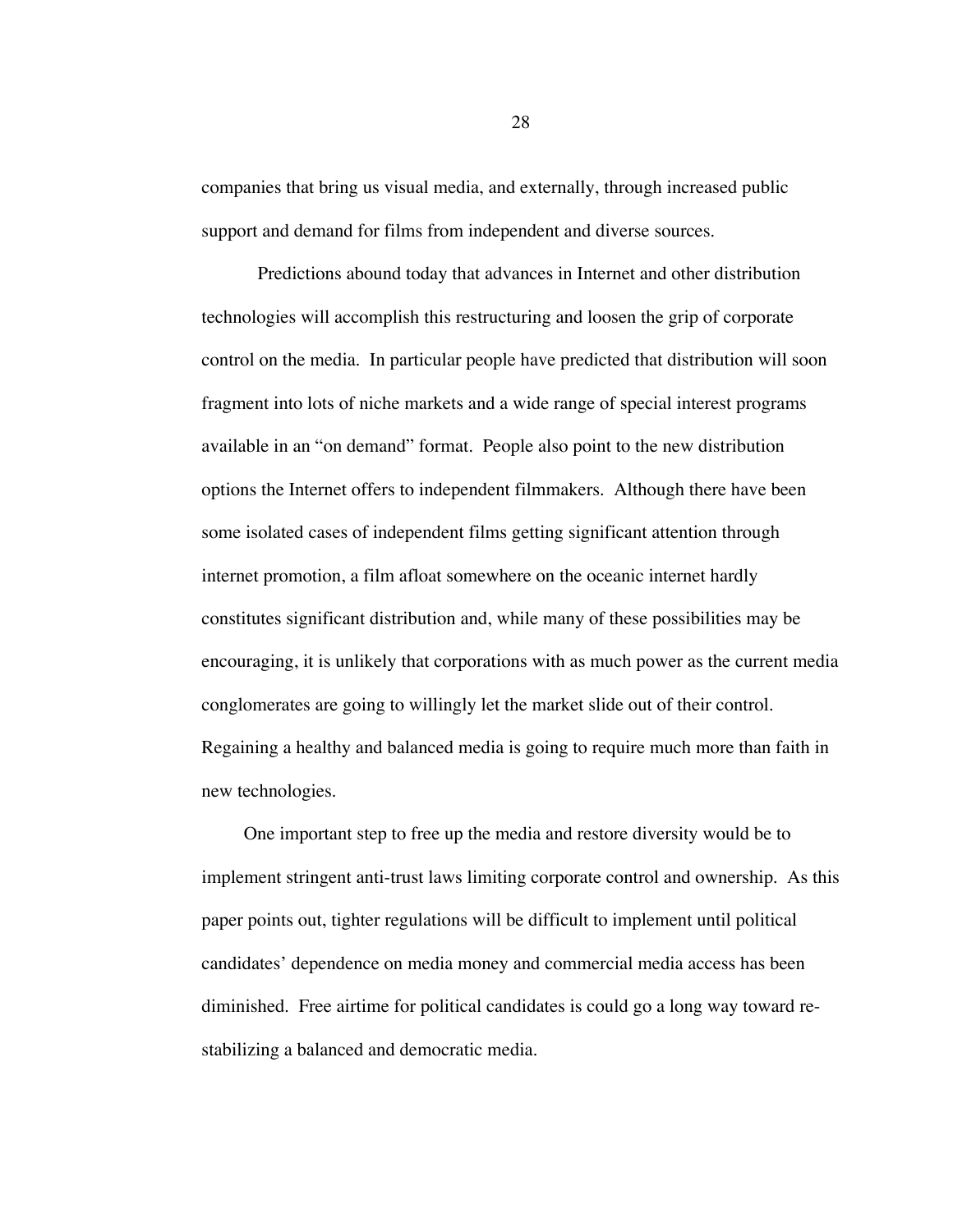companies that bring us visual media, and externally, through increased public support and demand for films from independent and diverse sources.

Predictions abound today that advances in Internet and other distribution technologies will accomplish this restructuring and loosen the grip of corporate control on the media. In particular people have predicted that distribution will soon fragment into lots of niche markets and a wide range of special interest programs available in an "on demand" format. People also point to the new distribution options the Internet offers to independent filmmakers. Although there have been some isolated cases of independent films getting significant attention through internet promotion, a film afloat somewhere on the oceanic internet hardly constitutes significant distribution and, while many of these possibilities may be encouraging, it is unlikely that corporations with as much power as the current media conglomerates are going to willingly let the market slide out of their control. Regaining a healthy and balanced media is going to require much more than faith in new technologies.

One important step to free up the media and restore diversity would be to implement stringent anti-trust laws limiting corporate control and ownership. As this paper points out, tighter regulations will be difficult to implement until political candidates' dependence on media money and commercial media access has been diminished. Free airtime for political candidates is could go a long way toward restabilizing a balanced and democratic media.

28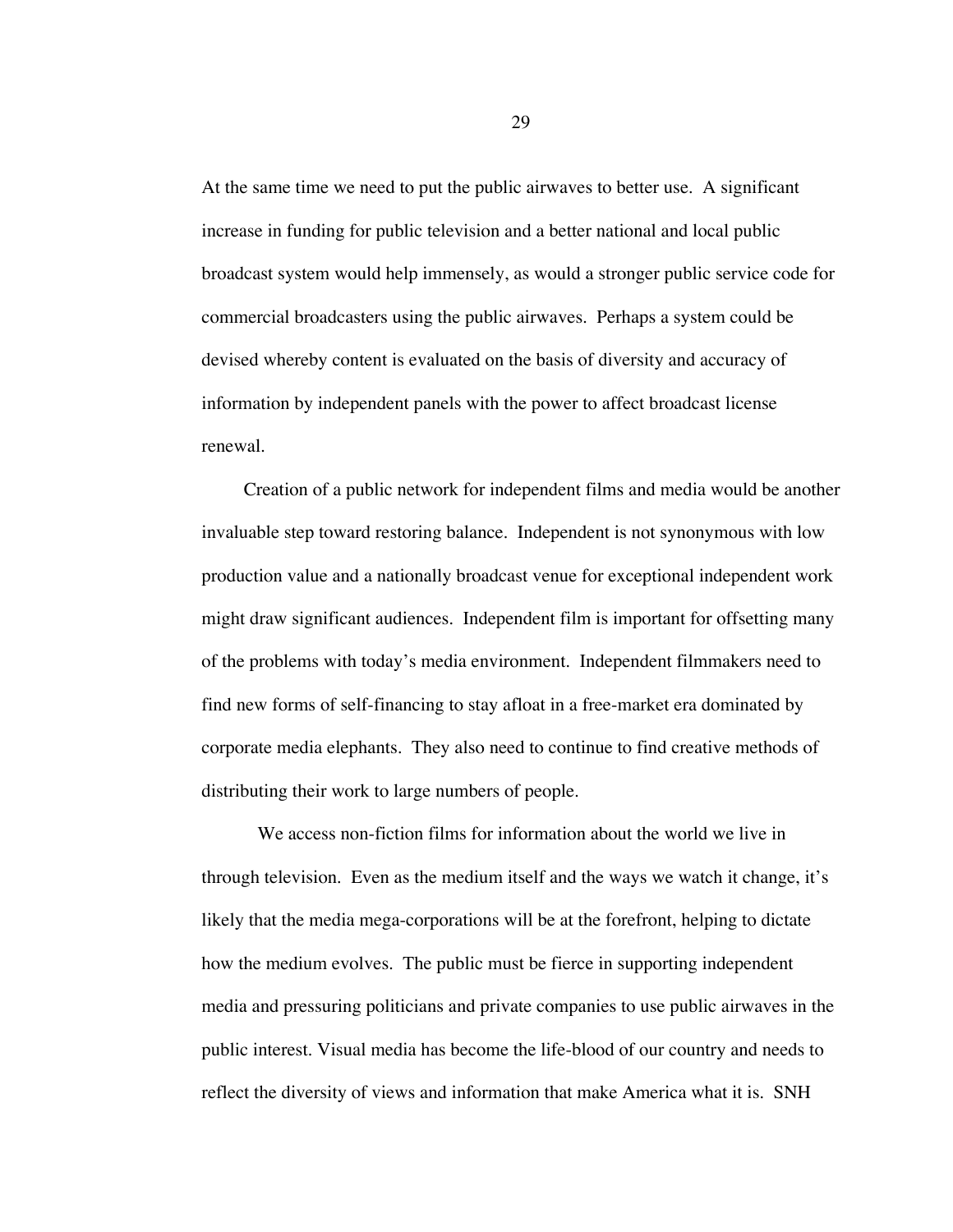At the same time we need to put the public airwaves to better use. A significant increase in funding for public television and a better national and local public broadcast system would help immensely, as would a stronger public service code for commercial broadcasters using the public airwaves. Perhaps a system could be devised whereby content is evaluated on the basis of diversity and accuracy of information by independent panels with the power to affect broadcast license renewal.

Creation of a public network for independent films and media would be another invaluable step toward restoring balance. Independent is not synonymous with low production value and a nationally broadcast venue for exceptional independent work might draw significant audiences. Independent film is important for offsetting many of the problems with today's media environment. Independent filmmakers need to find new forms of self-financing to stay afloat in a free-market era dominated by corporate media elephants. They also need to continue to find creative methods of distributing their work to large numbers of people.

We access non-fiction films for information about the world we live in through television. Even as the medium itself and the ways we watch it change, it's likely that the media mega-corporations will be at the forefront, helping to dictate how the medium evolves. The public must be fierce in supporting independent media and pressuring politicians and private companies to use public airwaves in the public interest. Visual media has become the life-blood of our country and needs to reflect the diversity of views and information that make America what it is. SNH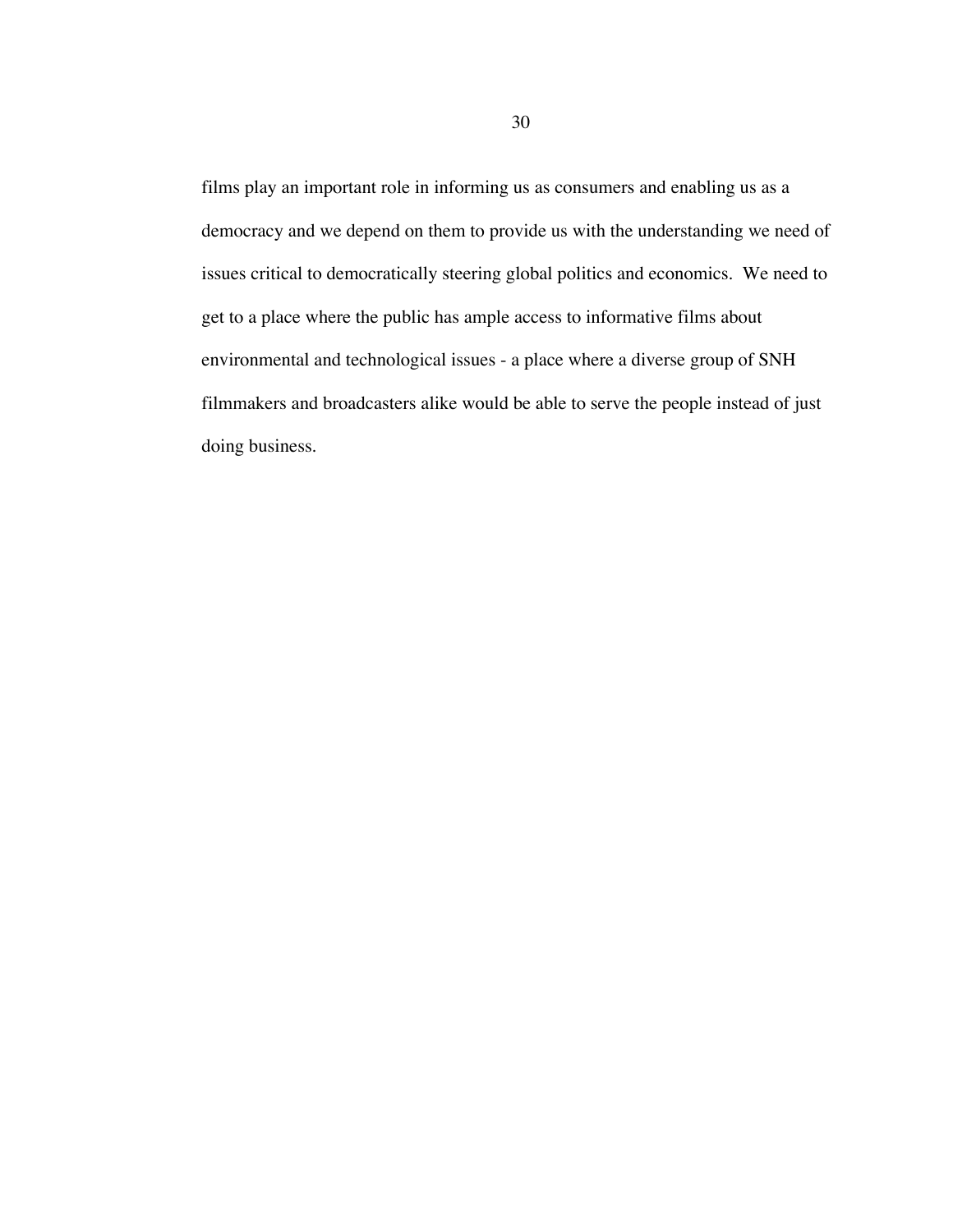films play an important role in informing us as consumers and enabling us as a democracy and we depend on them to provide us with the understanding we need of issues critical to democratically steering global politics and economics. We need to get to a place where the public has ample access to informative films about environmental and technological issues - a place where a diverse group of SNH filmmakers and broadcasters alike would be able to serve the people instead of just doing business.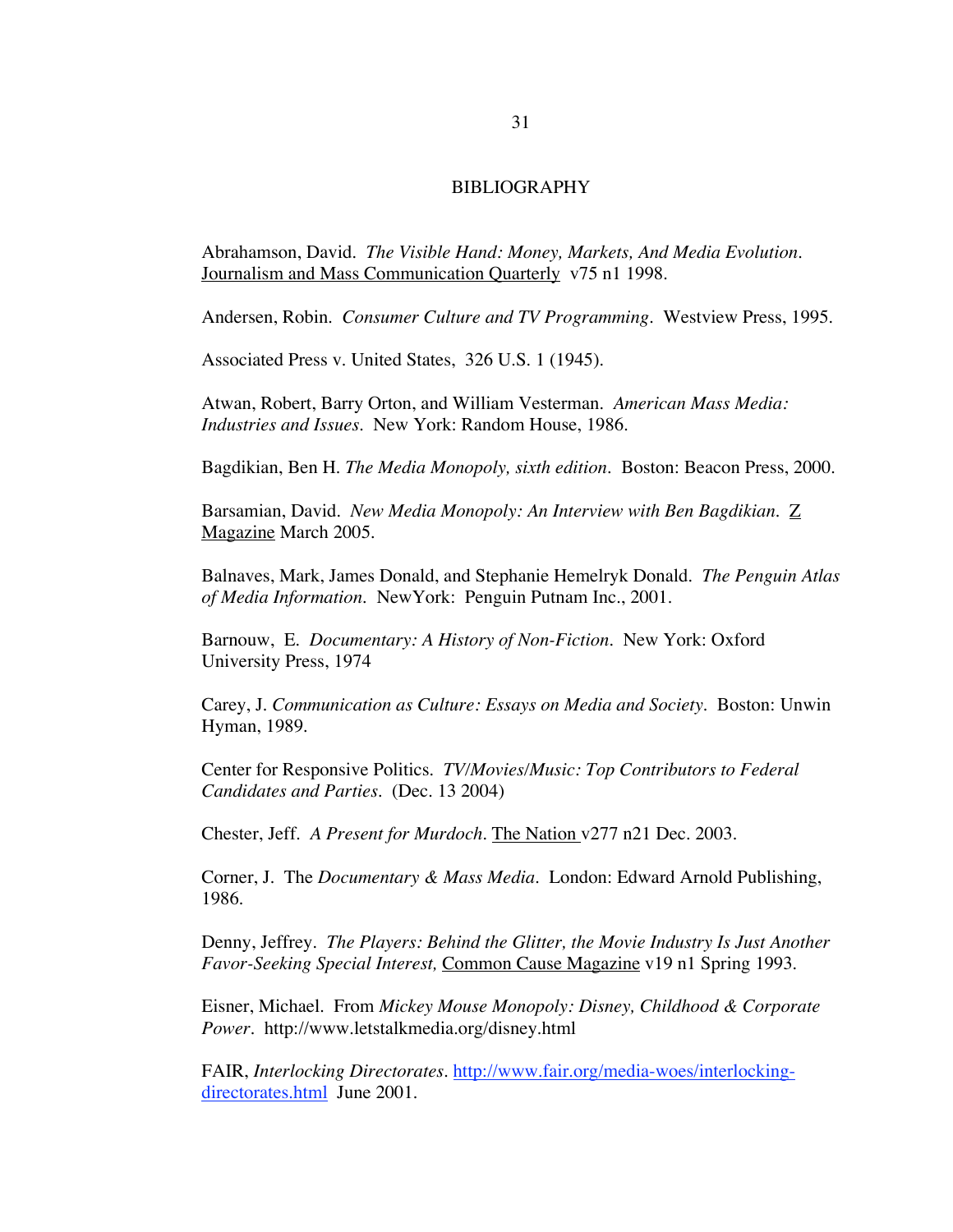#### BIBLIOGRAPHY

Abrahamson, David. *The Visible Hand: Money, Markets, And Media Evolution.* Journalism and Mass Communication Quarterlyv75 n1 1998.

Andersen, Robin. *Consumer Culture and TV Programming.* Westview Press, 1995.

Associated Press v. United States, 326 U.S. 1 (1945).

Atwan, Robert, Barry Orton, and William Vesterman. *American Mass Media: Industries and Issues.* New York: Random House, 1986.

Bagdikian, Ben H. *The Media Monopoly, sixth edition.* Boston: Beacon Press, 2000.

Barsamian, David. *New Media Monopoly: An Interview with Ben Bagdikian.* Z Magazine March 2005.

Balnaves, Mark, James Donald, and Stephanie Hemelryk Donald. *The Penguin Atlas of Media Information.* NewYork: Penguin Putnam Inc., 2001.

Barnouw, E. *Documentary: A History of Non-Fiction.* New York: Oxford University Press, 1974

Carey, J. *Communication as Culture: Essays on Media and Society*. Boston: Unwin Hyman, 1989.

Center for Responsive Politics. *TV/Movies/Music: Top Contributors to Federal Candidates and Parties.* (Dec. 13 2004)

Chester, Jeff. *A Present for Murdoch.* The Nation v277 n21 Dec. 2003.

Corner, J. The *Documentary & Mass Media.* London: Edward Arnold Publishing, 1986.

Denny, Jeffrey. *The Players: Behind the Glitter, the Movie Industry Is Just Another Favor-Seeking Special Interest,* Common Cause Magazine v19 n1 Spring 1993.

Eisner, Michael. From *Mickey Mouse Monopoly: Disney, Childhood & Corporate Power.* http://www.letstalkmedia.org/disney.html

FAIR, *Interlocking Directorates.* http://www.fair.org/media-woes/interlockingdirectorates.html June 2001.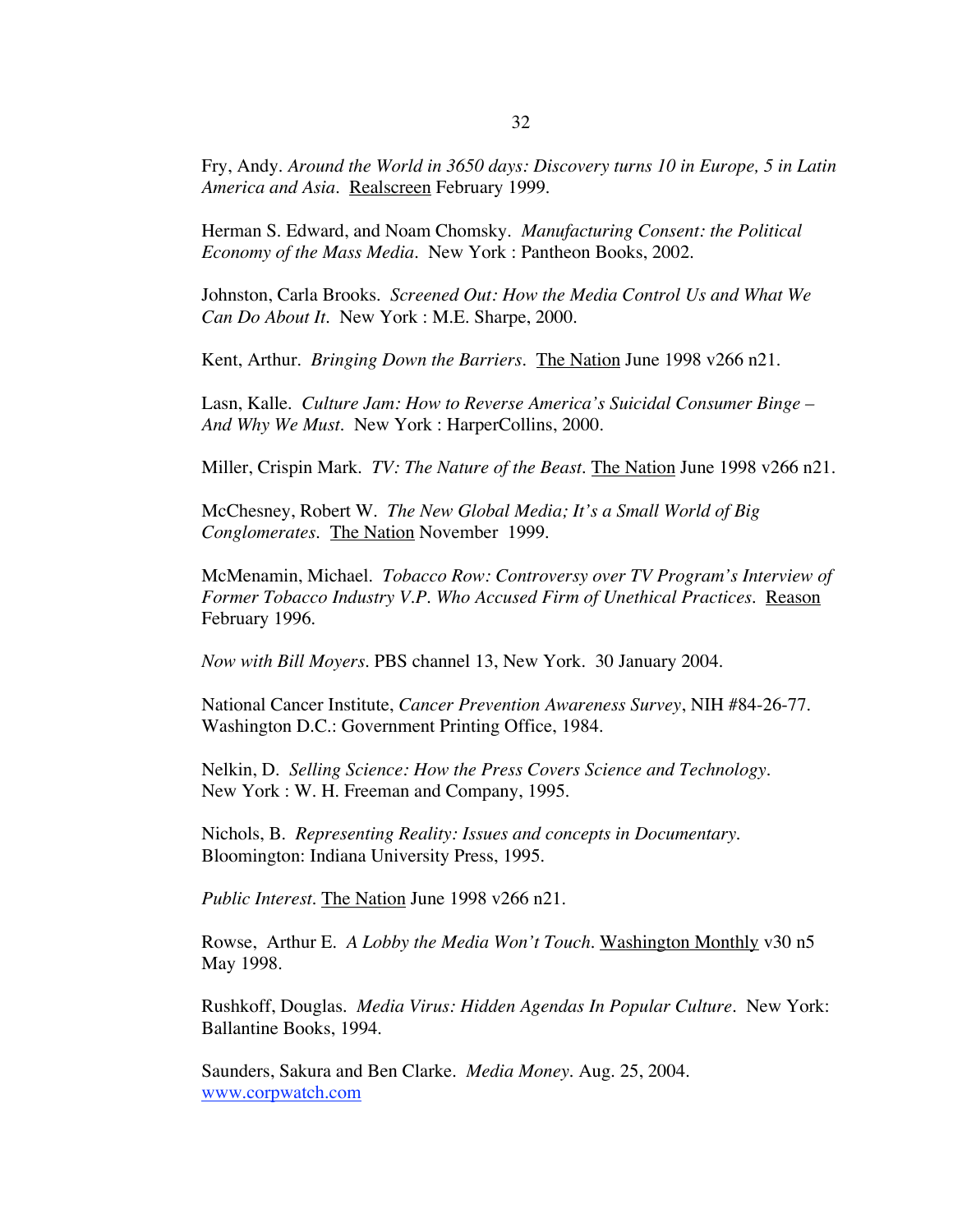Fry, Andy. *Around the World in 3650 days: Discovery turns 10 in Europe, 5 in Latin* America and Asia. Realscreen February 1999.

Herman S. Edward, and Noam Chomsky. *Manufacturing Consent: the Political Economy of the Mass Media.* New York : Pantheon Books, 2002.

Johnston, Carla Brooks. *Screened Out: How the Media Control Us and What We Can Do About It.* New York : M.E. Sharpe, 2000.

Kent, Arthur. *Bringing Down the Barriers.* The Nation June 1998 v266 n21.

Lasn, Kalle. *Culture Jam: How to Reverse America's Suicidal Consumer Binge – And Why We Must.* New York : HarperCollins, 2000.

Miller, Crispin Mark. *TV: The Nature of the Beast.* The Nation June 1998 v266 n21.

McChesney, Robert W. *The New Global Media; It's a Small World of Big Conglomerates*. The Nation November 1999.

McMenamin, Michael. *Tobacco Row: Controversy over TV Program's Interview of Former Tobacco Industry V.P. Who Accused Firm of Unethical Practices*. Reason February 1996.

*Now with Bill Moyers.* PBS channel 13, New York. 30 January 2004.

National Cancer Institute, *Cancer Prevention Awareness Survey*, NIH #84-26-77. Washington D.C.: Government Printing Office, 1984.

Nelkin, D. *Selling Science: How the Press Covers Science and Technology.* New York : W. H. Freeman and Company, 1995.

Nichols, B. *Representing Reality: Issues and concepts in Documentary*. Bloomington: Indiana University Press, 1995.

*Public Interest*. The Nation June 1998 v266 n21.

Rowse, Arthur E. *A Lobby the Media Won't Touch.* Washington Monthly v30 n5 May 1998.

Rushkoff, Douglas. *Media Virus: Hidden Agendas In Popular Culture.* New York: Ballantine Books, 1994.

Saunders, Sakura and Ben Clarke. *Media Money.* Aug. 25, 2004. www.corpwatch.com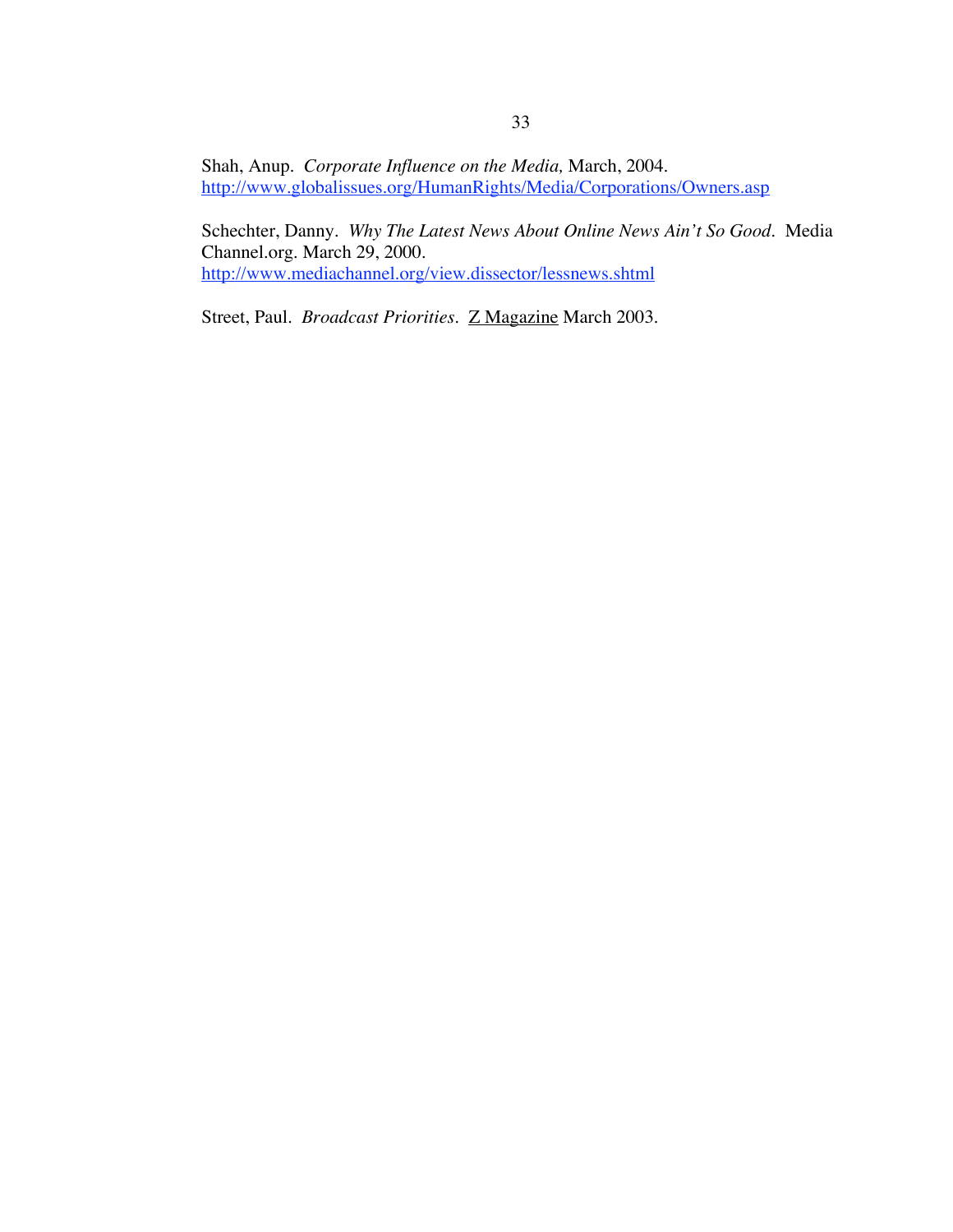Shah, Anup. *Corporate Influence on the Media,* March, 2004. http://www.globalissues.org/HumanRights/Media/Corporations/Owners.asp

Schechter, Danny. *Why The Latest News About Online News Ain't So Good.* Media Channel.org. March 29, 2000. http://www.mediachannel.org/view.dissector/lessnews.shtml

Street, Paul. *Broadcast Priorities.* Z Magazine March 2003.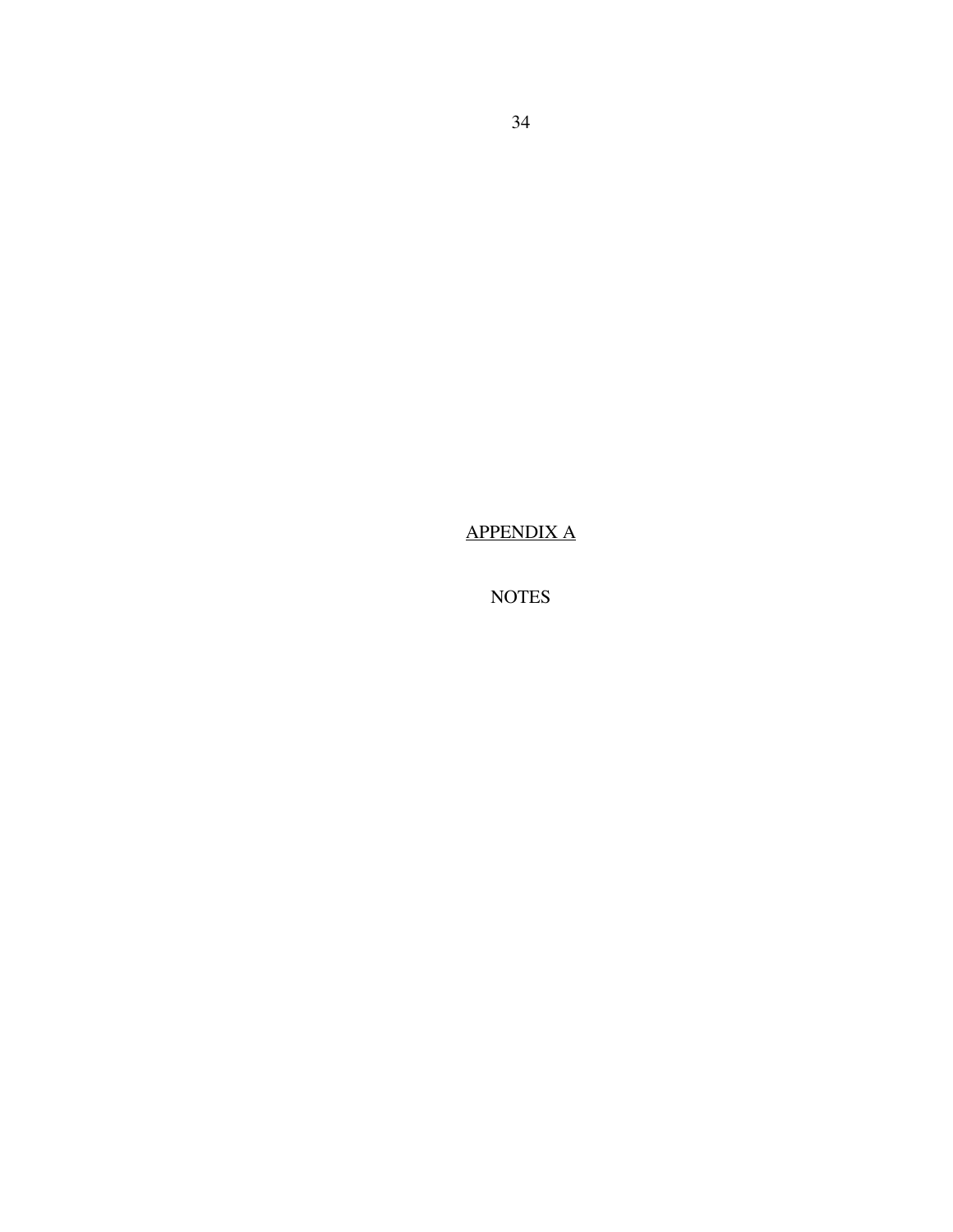APPENDIX A

NOTES